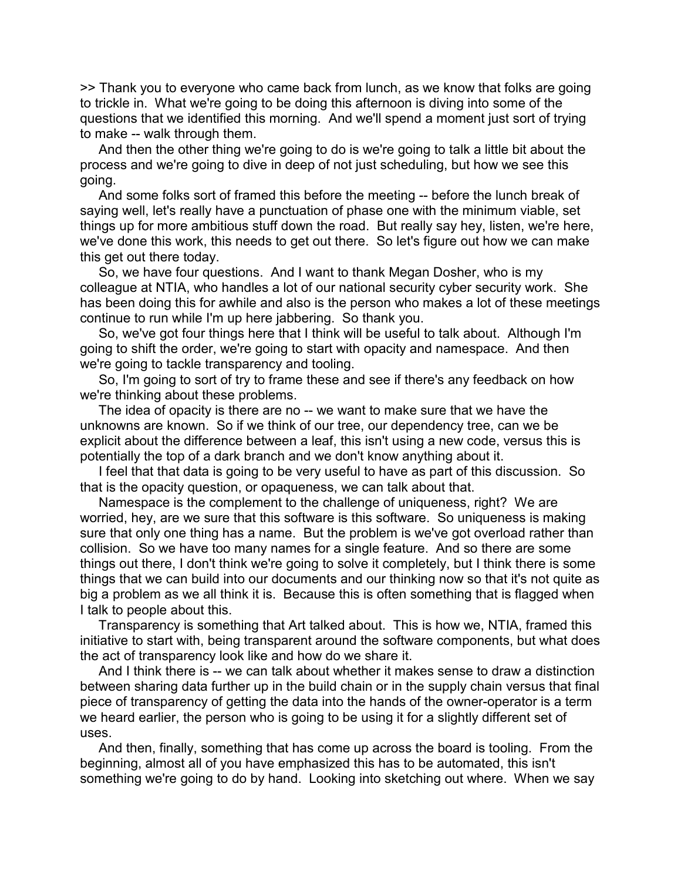>> Thank you to everyone who came back from lunch, as we know that folks are going to trickle in. What we're going to be doing this afternoon is diving into some of the questions that we identified this morning. And we'll spend a moment just sort of trying to make -- walk through them.

 And then the other thing we're going to do is we're going to talk a little bit about the process and we're going to dive in deep of not just scheduling, but how we see this going.

 And some folks sort of framed this before the meeting -- before the lunch break of saying well, let's really have a punctuation of phase one with the minimum viable, set things up for more ambitious stuff down the road. But really say hey, listen, we're here, we've done this work, this needs to get out there. So let's figure out how we can make this get out there today.

 So, we have four questions. And I want to thank Megan Dosher, who is my colleague at NTIA, who handles a lot of our national security cyber security work. She has been doing this for awhile and also is the person who makes a lot of these meetings continue to run while I'm up here jabbering. So thank you.

 So, we've got four things here that I think will be useful to talk about. Although I'm going to shift the order, we're going to start with opacity and namespace. And then we're going to tackle transparency and tooling.

 So, I'm going to sort of try to frame these and see if there's any feedback on how we're thinking about these problems.

 The idea of opacity is there are no -- we want to make sure that we have the unknowns are known. So if we think of our tree, our dependency tree, can we be explicit about the difference between a leaf, this isn't using a new code, versus this is potentially the top of a dark branch and we don't know anything about it.

 I feel that that data is going to be very useful to have as part of this discussion. So that is the opacity question, or opaqueness, we can talk about that.

 Namespace is the complement to the challenge of uniqueness, right? We are worried, hey, are we sure that this software is this software. So uniqueness is making sure that only one thing has a name. But the problem is we've got overload rather than collision. So we have too many names for a single feature. And so there are some things out there, I don't think we're going to solve it completely, but I think there is some things that we can build into our documents and our thinking now so that it's not quite as big a problem as we all think it is. Because this is often something that is flagged when I talk to people about this.

 Transparency is something that Art talked about. This is how we, NTIA, framed this initiative to start with, being transparent around the software components, but what does the act of transparency look like and how do we share it.

 And I think there is -- we can talk about whether it makes sense to draw a distinction between sharing data further up in the build chain or in the supply chain versus that final piece of transparency of getting the data into the hands of the owner-operator is a term we heard earlier, the person who is going to be using it for a slightly different set of uses.

 And then, finally, something that has come up across the board is tooling. From the beginning, almost all of you have emphasized this has to be automated, this isn't something we're going to do by hand. Looking into sketching out where. When we say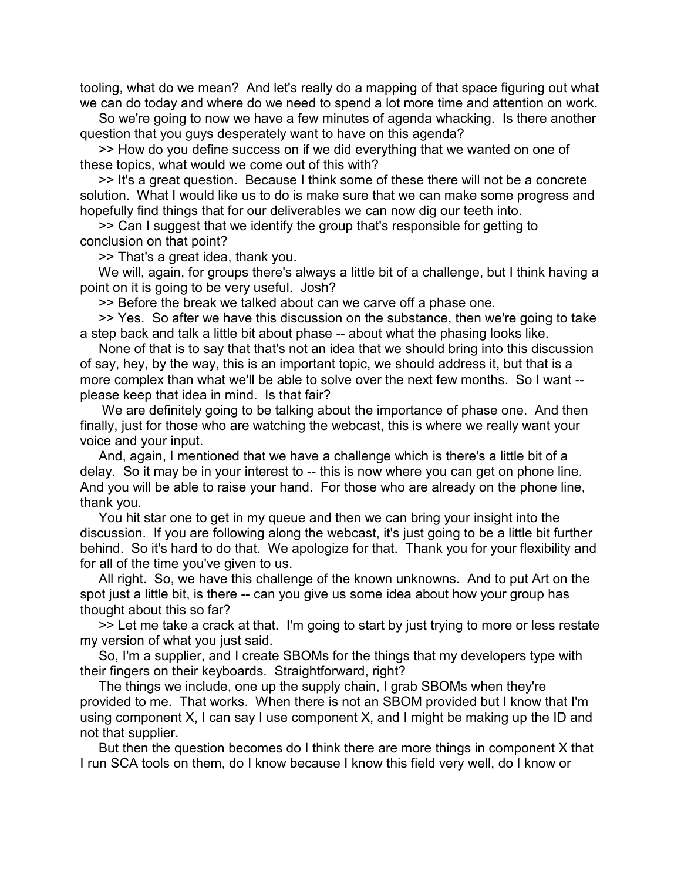tooling, what do we mean? And let's really do a mapping of that space figuring out what we can do today and where do we need to spend a lot more time and attention on work.

 So we're going to now we have a few minutes of agenda whacking. Is there another question that you guys desperately want to have on this agenda?

 >> How do you define success on if we did everything that we wanted on one of these topics, what would we come out of this with?

 >> It's a great question. Because I think some of these there will not be a concrete solution. What I would like us to do is make sure that we can make some progress and hopefully find things that for our deliverables we can now dig our teeth into.

 >> Can I suggest that we identify the group that's responsible for getting to conclusion on that point?

>> That's a great idea, thank you.

 We will, again, for groups there's always a little bit of a challenge, but I think having a point on it is going to be very useful. Josh?

>> Before the break we talked about can we carve off a phase one.

 >> Yes. So after we have this discussion on the substance, then we're going to take a step back and talk a little bit about phase -- about what the phasing looks like.

 None of that is to say that that's not an idea that we should bring into this discussion of say, hey, by the way, this is an important topic, we should address it, but that is a more complex than what we'll be able to solve over the next few months. So I want - please keep that idea in mind. Is that fair?

We are definitely going to be talking about the importance of phase one. And then finally, just for those who are watching the webcast, this is where we really want your voice and your input.

 And, again, I mentioned that we have a challenge which is there's a little bit of a delay. So it may be in your interest to -- this is now where you can get on phone line. And you will be able to raise your hand. For those who are already on the phone line, thank you.

 You hit star one to get in my queue and then we can bring your insight into the discussion. If you are following along the webcast, it's just going to be a little bit further behind. So it's hard to do that. We apologize for that. Thank you for your flexibility and for all of the time you've given to us.

 All right. So, we have this challenge of the known unknowns. And to put Art on the spot just a little bit, is there -- can you give us some idea about how your group has thought about this so far?

 >> Let me take a crack at that. I'm going to start by just trying to more or less restate my version of what you just said.

 So, I'm a supplier, and I create SBOMs for the things that my developers type with their fingers on their keyboards. Straightforward, right?

 The things we include, one up the supply chain, I grab SBOMs when they're provided to me. That works. When there is not an SBOM provided but I know that I'm using component X, I can say I use component X, and I might be making up the ID and not that supplier.

 But then the question becomes do I think there are more things in component X that I run SCA tools on them, do I know because I know this field very well, do I know or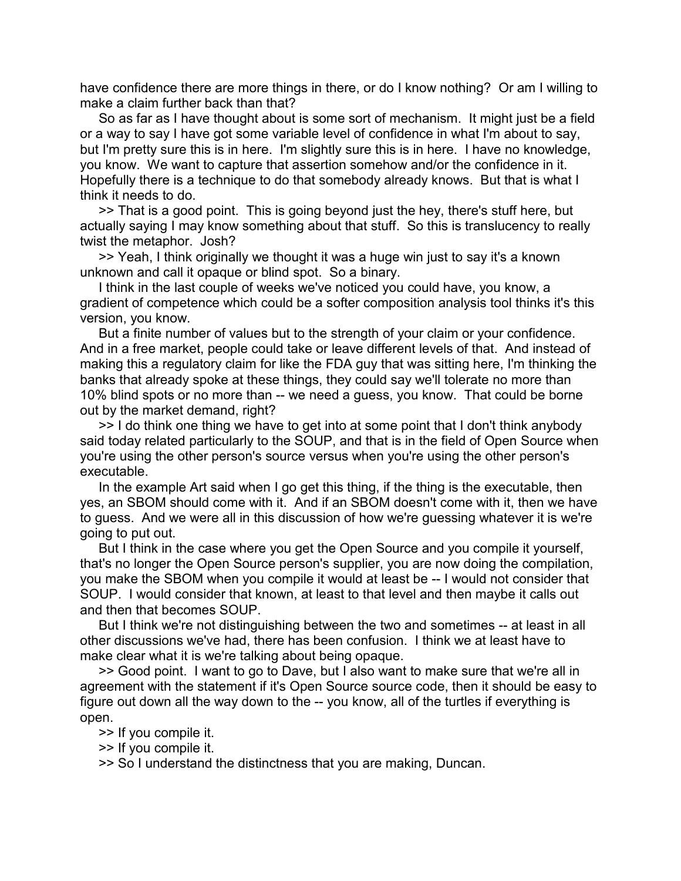have confidence there are more things in there, or do I know nothing? Or am I willing to make a claim further back than that?

 So as far as I have thought about is some sort of mechanism. It might just be a field or a way to say I have got some variable level of confidence in what I'm about to say, but I'm pretty sure this is in here. I'm slightly sure this is in here. I have no knowledge, you know. We want to capture that assertion somehow and/or the confidence in it. Hopefully there is a technique to do that somebody already knows. But that is what I think it needs to do.

 >> That is a good point. This is going beyond just the hey, there's stuff here, but actually saying I may know something about that stuff. So this is translucency to really twist the metaphor. Josh?

 >> Yeah, I think originally we thought it was a huge win just to say it's a known unknown and call it opaque or blind spot. So a binary.

 I think in the last couple of weeks we've noticed you could have, you know, a gradient of competence which could be a softer composition analysis tool thinks it's this version, you know.

 But a finite number of values but to the strength of your claim or your confidence. And in a free market, people could take or leave different levels of that. And instead of making this a regulatory claim for like the FDA guy that was sitting here, I'm thinking the banks that already spoke at these things, they could say we'll tolerate no more than 10% blind spots or no more than -- we need a guess, you know. That could be borne out by the market demand, right?

 >> I do think one thing we have to get into at some point that I don't think anybody said today related particularly to the SOUP, and that is in the field of Open Source when you're using the other person's source versus when you're using the other person's executable.

 In the example Art said when I go get this thing, if the thing is the executable, then yes, an SBOM should come with it. And if an SBOM doesn't come with it, then we have to guess. And we were all in this discussion of how we're guessing whatever it is we're going to put out.

 But I think in the case where you get the Open Source and you compile it yourself, that's no longer the Open Source person's supplier, you are now doing the compilation, you make the SBOM when you compile it would at least be -- I would not consider that SOUP. I would consider that known, at least to that level and then maybe it calls out and then that becomes SOUP.

 But I think we're not distinguishing between the two and sometimes -- at least in all other discussions we've had, there has been confusion. I think we at least have to make clear what it is we're talking about being opaque.

 >> Good point. I want to go to Dave, but I also want to make sure that we're all in agreement with the statement if it's Open Source source code, then it should be easy to figure out down all the way down to the -- you know, all of the turtles if everything is open.

>> If you compile it.

>> If you compile it.

>> So I understand the distinctness that you are making, Duncan.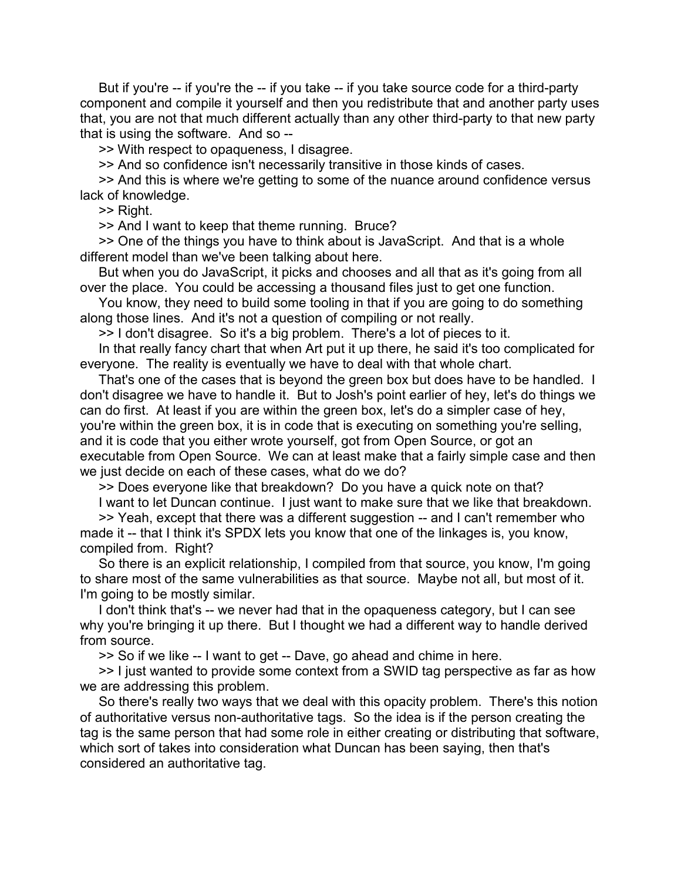But if you're -- if you're the -- if you take -- if you take source code for a third-party component and compile it yourself and then you redistribute that and another party uses that, you are not that much different actually than any other third-party to that new party that is using the software. And so --

>> With respect to opaqueness, I disagree.

>> And so confidence isn't necessarily transitive in those kinds of cases.

 >> And this is where we're getting to some of the nuance around confidence versus lack of knowledge.

>> Right.

>> And I want to keep that theme running. Bruce?

 >> One of the things you have to think about is JavaScript. And that is a whole different model than we've been talking about here.

 But when you do JavaScript, it picks and chooses and all that as it's going from all over the place. You could be accessing a thousand files just to get one function.

You know, they need to build some tooling in that if you are going to do something along those lines. And it's not a question of compiling or not really.

>> I don't disagree. So it's a big problem. There's a lot of pieces to it.

 In that really fancy chart that when Art put it up there, he said it's too complicated for everyone. The reality is eventually we have to deal with that whole chart.

 That's one of the cases that is beyond the green box but does have to be handled. I don't disagree we have to handle it. But to Josh's point earlier of hey, let's do things we can do first. At least if you are within the green box, let's do a simpler case of hey, you're within the green box, it is in code that is executing on something you're selling, and it is code that you either wrote yourself, got from Open Source, or got an executable from Open Source. We can at least make that a fairly simple case and then we just decide on each of these cases, what do we do?

>> Does everyone like that breakdown? Do you have a quick note on that?

I want to let Duncan continue. I just want to make sure that we like that breakdown.

 >> Yeah, except that there was a different suggestion -- and I can't remember who made it -- that I think it's SPDX lets you know that one of the linkages is, you know, compiled from. Right?

 So there is an explicit relationship, I compiled from that source, you know, I'm going to share most of the same vulnerabilities as that source. Maybe not all, but most of it. I'm going to be mostly similar.

 I don't think that's -- we never had that in the opaqueness category, but I can see why you're bringing it up there. But I thought we had a different way to handle derived from source.

>> So if we like -- I want to get -- Dave, go ahead and chime in here.

 >> I just wanted to provide some context from a SWID tag perspective as far as how we are addressing this problem.

 So there's really two ways that we deal with this opacity problem. There's this notion of authoritative versus non-authoritative tags. So the idea is if the person creating the tag is the same person that had some role in either creating or distributing that software, which sort of takes into consideration what Duncan has been saying, then that's considered an authoritative tag.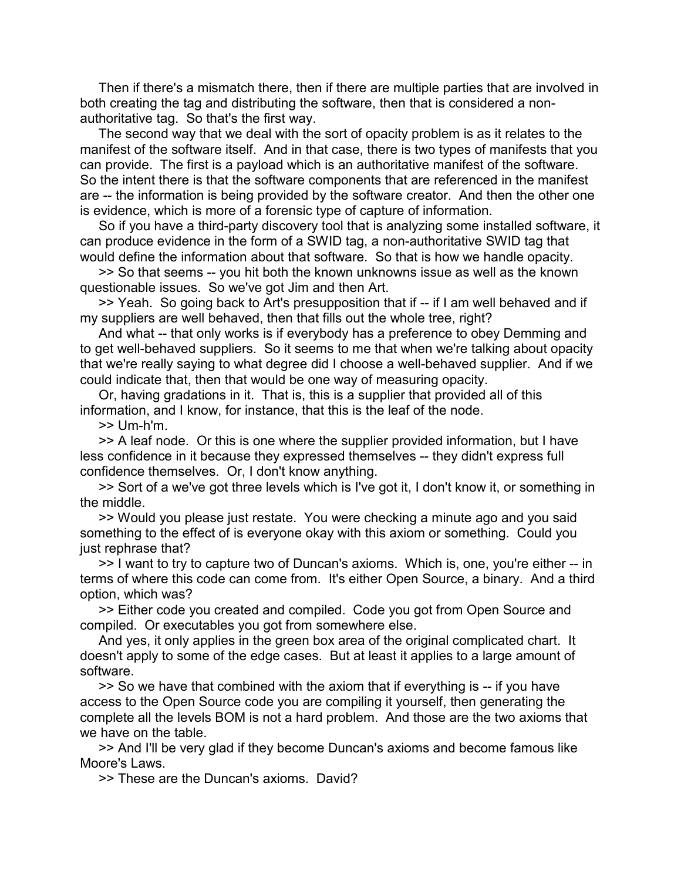Then if there's a mismatch there, then if there are multiple parties that are involved in both creating the tag and distributing the software, then that is considered a nonauthoritative tag. So that's the first way.

 The second way that we deal with the sort of opacity problem is as it relates to the manifest of the software itself. And in that case, there is two types of manifests that you can provide. The first is a payload which is an authoritative manifest of the software. So the intent there is that the software components that are referenced in the manifest are -- the information is being provided by the software creator. And then the other one is evidence, which is more of a forensic type of capture of information.

 So if you have a third-party discovery tool that is analyzing some installed software, it can produce evidence in the form of a SWID tag, a non-authoritative SWID tag that would define the information about that software. So that is how we handle opacity.

 >> So that seems -- you hit both the known unknowns issue as well as the known questionable issues. So we've got Jim and then Art.

 >> Yeah. So going back to Art's presupposition that if -- if I am well behaved and if my suppliers are well behaved, then that fills out the whole tree, right?

 And what -- that only works is if everybody has a preference to obey Demming and to get well-behaved suppliers. So it seems to me that when we're talking about opacity that we're really saying to what degree did I choose a well-behaved supplier. And if we could indicate that, then that would be one way of measuring opacity.

 Or, having gradations in it. That is, this is a supplier that provided all of this information, and I know, for instance, that this is the leaf of the node.

 $>>$  Um-h'm.

 >> A leaf node. Or this is one where the supplier provided information, but I have less confidence in it because they expressed themselves -- they didn't express full confidence themselves. Or, I don't know anything.

 >> Sort of a we've got three levels which is I've got it, I don't know it, or something in the middle.

 >> Would you please just restate. You were checking a minute ago and you said something to the effect of is everyone okay with this axiom or something. Could you just rephrase that?

 >> I want to try to capture two of Duncan's axioms. Which is, one, you're either -- in terms of where this code can come from. It's either Open Source, a binary. And a third option, which was?

 >> Either code you created and compiled. Code you got from Open Source and compiled. Or executables you got from somewhere else.

 And yes, it only applies in the green box area of the original complicated chart. It doesn't apply to some of the edge cases. But at least it applies to a large amount of software.

 >> So we have that combined with the axiom that if everything is -- if you have access to the Open Source code you are compiling it yourself, then generating the complete all the levels BOM is not a hard problem. And those are the two axioms that we have on the table.

 >> And I'll be very glad if they become Duncan's axioms and become famous like Moore's Laws.

>> These are the Duncan's axioms. David?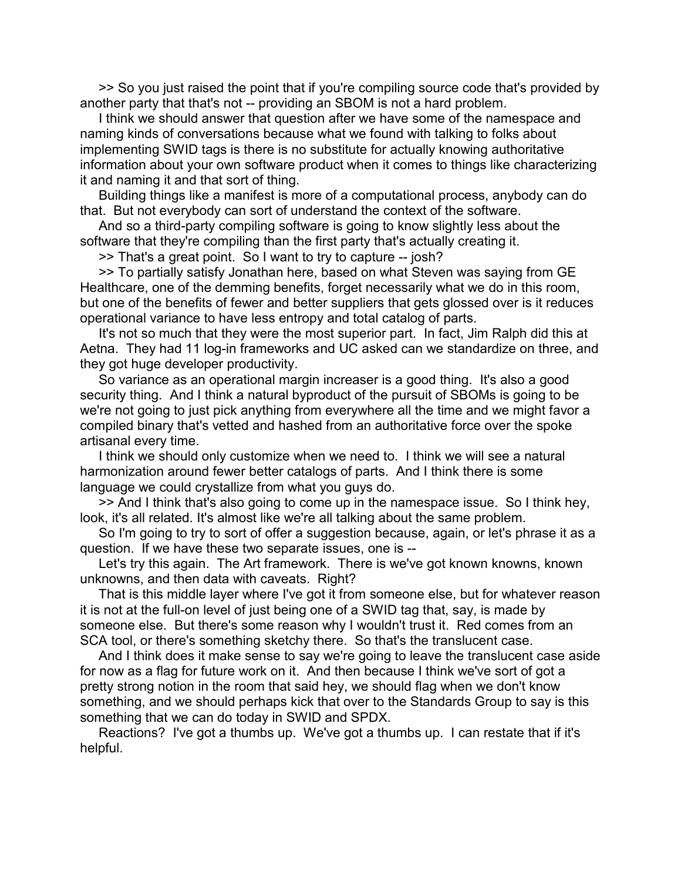>> So you just raised the point that if you're compiling source code that's provided by another party that that's not -- providing an SBOM is not a hard problem.

 I think we should answer that question after we have some of the namespace and naming kinds of conversations because what we found with talking to folks about implementing SWID tags is there is no substitute for actually knowing authoritative information about your own software product when it comes to things like characterizing it and naming it and that sort of thing.

 Building things like a manifest is more of a computational process, anybody can do that. But not everybody can sort of understand the context of the software.

 And so a third-party compiling software is going to know slightly less about the software that they're compiling than the first party that's actually creating it.

>> That's a great point. So I want to try to capture -- josh?

 >> To partially satisfy Jonathan here, based on what Steven was saying from GE Healthcare, one of the demming benefits, forget necessarily what we do in this room, but one of the benefits of fewer and better suppliers that gets glossed over is it reduces operational variance to have less entropy and total catalog of parts.

 It's not so much that they were the most superior part. In fact, Jim Ralph did this at Aetna. They had 11 log-in frameworks and UC asked can we standardize on three, and they got huge developer productivity.

 So variance as an operational margin increaser is a good thing. It's also a good security thing. And I think a natural byproduct of the pursuit of SBOMs is going to be we're not going to just pick anything from everywhere all the time and we might favor a compiled binary that's vetted and hashed from an authoritative force over the spoke artisanal every time.

 I think we should only customize when we need to. I think we will see a natural harmonization around fewer better catalogs of parts. And I think there is some language we could crystallize from what you guys do.

 >> And I think that's also going to come up in the namespace issue. So I think hey, look, it's all related. It's almost like we're all talking about the same problem.

 So I'm going to try to sort of offer a suggestion because, again, or let's phrase it as a question. If we have these two separate issues, one is --

 Let's try this again. The Art framework. There is we've got known knowns, known unknowns, and then data with caveats. Right?

 That is this middle layer where I've got it from someone else, but for whatever reason it is not at the full-on level of just being one of a SWID tag that, say, is made by someone else. But there's some reason why I wouldn't trust it. Red comes from an SCA tool, or there's something sketchy there. So that's the translucent case.

 And I think does it make sense to say we're going to leave the translucent case aside for now as a flag for future work on it. And then because I think we've sort of got a pretty strong notion in the room that said hey, we should flag when we don't know something, and we should perhaps kick that over to the Standards Group to say is this something that we can do today in SWID and SPDX.

 Reactions? I've got a thumbs up. We've got a thumbs up. I can restate that if it's helpful.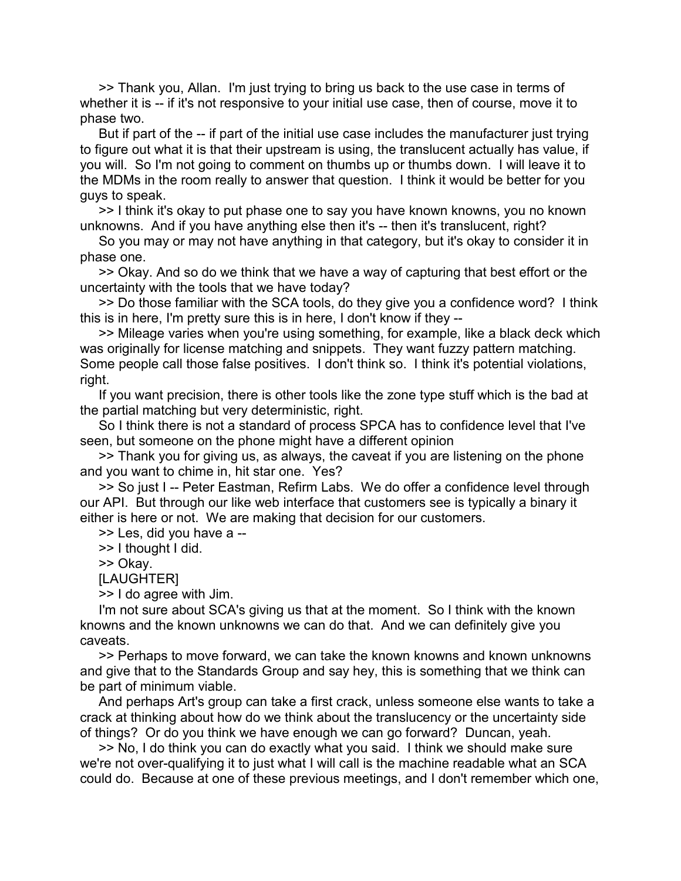>> Thank you, Allan. I'm just trying to bring us back to the use case in terms of whether it is -- if it's not responsive to your initial use case, then of course, move it to phase two.

 But if part of the -- if part of the initial use case includes the manufacturer just trying to figure out what it is that their upstream is using, the translucent actually has value, if you will. So I'm not going to comment on thumbs up or thumbs down. I will leave it to the MDMs in the room really to answer that question. I think it would be better for you guys to speak.

 >> I think it's okay to put phase one to say you have known knowns, you no known unknowns. And if you have anything else then it's -- then it's translucent, right?

 So you may or may not have anything in that category, but it's okay to consider it in phase one.

 >> Okay. And so do we think that we have a way of capturing that best effort or the uncertainty with the tools that we have today?

 >> Do those familiar with the SCA tools, do they give you a confidence word? I think this is in here, I'm pretty sure this is in here, I don't know if they --

 >> Mileage varies when you're using something, for example, like a black deck which was originally for license matching and snippets. They want fuzzy pattern matching. Some people call those false positives. I don't think so. I think it's potential violations, right.

 If you want precision, there is other tools like the zone type stuff which is the bad at the partial matching but very deterministic, right.

 So I think there is not a standard of process SPCA has to confidence level that I've seen, but someone on the phone might have a different opinion

 >> Thank you for giving us, as always, the caveat if you are listening on the phone and you want to chime in, hit star one. Yes?

 >> So just I -- Peter Eastman, Refirm Labs. We do offer a confidence level through our API. But through our like web interface that customers see is typically a binary it either is here or not. We are making that decision for our customers.

>> Les, did you have a --

>> I thought I did.

>> Okay.

[LAUGHTER]

>> I do agree with Jim.

 I'm not sure about SCA's giving us that at the moment. So I think with the known knowns and the known unknowns we can do that. And we can definitely give you caveats.

 >> Perhaps to move forward, we can take the known knowns and known unknowns and give that to the Standards Group and say hey, this is something that we think can be part of minimum viable.

 And perhaps Art's group can take a first crack, unless someone else wants to take a crack at thinking about how do we think about the translucency or the uncertainty side of things? Or do you think we have enough we can go forward? Duncan, yeah.

 >> No, I do think you can do exactly what you said. I think we should make sure we're not over-qualifying it to just what I will call is the machine readable what an SCA could do. Because at one of these previous meetings, and I don't remember which one,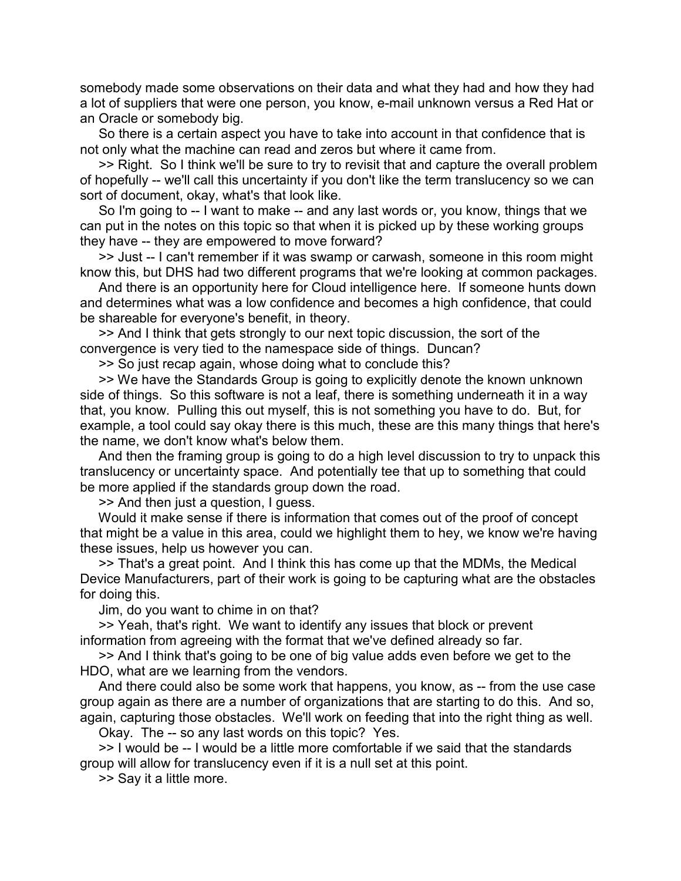somebody made some observations on their data and what they had and how they had a lot of suppliers that were one person, you know, e-mail unknown versus a Red Hat or an Oracle or somebody big.

 So there is a certain aspect you have to take into account in that confidence that is not only what the machine can read and zeros but where it came from.

 >> Right. So I think we'll be sure to try to revisit that and capture the overall problem of hopefully -- we'll call this uncertainty if you don't like the term translucency so we can sort of document, okay, what's that look like.

 So I'm going to -- I want to make -- and any last words or, you know, things that we can put in the notes on this topic so that when it is picked up by these working groups they have -- they are empowered to move forward?

 >> Just -- I can't remember if it was swamp or carwash, someone in this room might know this, but DHS had two different programs that we're looking at common packages.

 And there is an opportunity here for Cloud intelligence here. If someone hunts down and determines what was a low confidence and becomes a high confidence, that could be shareable for everyone's benefit, in theory.

 >> And I think that gets strongly to our next topic discussion, the sort of the convergence is very tied to the namespace side of things. Duncan?

>> So just recap again, whose doing what to conclude this?

 >> We have the Standards Group is going to explicitly denote the known unknown side of things. So this software is not a leaf, there is something underneath it in a way that, you know. Pulling this out myself, this is not something you have to do. But, for example, a tool could say okay there is this much, these are this many things that here's the name, we don't know what's below them.

 And then the framing group is going to do a high level discussion to try to unpack this translucency or uncertainty space. And potentially tee that up to something that could be more applied if the standards group down the road.

>> And then just a question, I guess.

 Would it make sense if there is information that comes out of the proof of concept that might be a value in this area, could we highlight them to hey, we know we're having these issues, help us however you can.

 >> That's a great point. And I think this has come up that the MDMs, the Medical Device Manufacturers, part of their work is going to be capturing what are the obstacles for doing this.

Jim, do you want to chime in on that?

 >> Yeah, that's right. We want to identify any issues that block or prevent information from agreeing with the format that we've defined already so far.

 >> And I think that's going to be one of big value adds even before we get to the HDO, what are we learning from the vendors.

 And there could also be some work that happens, you know, as -- from the use case group again as there are a number of organizations that are starting to do this. And so, again, capturing those obstacles. We'll work on feeding that into the right thing as well.

Okay. The -- so any last words on this topic? Yes.

 >> I would be -- I would be a little more comfortable if we said that the standards group will allow for translucency even if it is a null set at this point.

>> Say it a little more.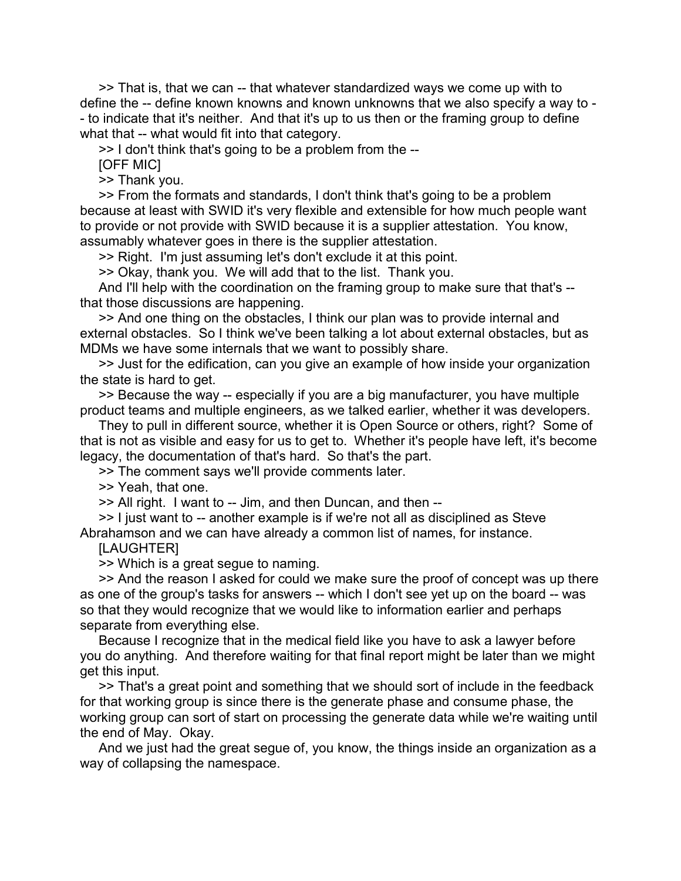>> That is, that we can -- that whatever standardized ways we come up with to define the -- define known knowns and known unknowns that we also specify a way to - - to indicate that it's neither. And that it's up to us then or the framing group to define what that -- what would fit into that category.

>> I don't think that's going to be a problem from the --

[OFF MIC]

>> Thank you.

 >> From the formats and standards, I don't think that's going to be a problem because at least with SWID it's very flexible and extensible for how much people want to provide or not provide with SWID because it is a supplier attestation. You know, assumably whatever goes in there is the supplier attestation.

>> Right. I'm just assuming let's don't exclude it at this point.

>> Okay, thank you. We will add that to the list. Thank you.

 And I'll help with the coordination on the framing group to make sure that that's - that those discussions are happening.

 >> And one thing on the obstacles, I think our plan was to provide internal and external obstacles. So I think we've been talking a lot about external obstacles, but as MDMs we have some internals that we want to possibly share.

 >> Just for the edification, can you give an example of how inside your organization the state is hard to get.

 >> Because the way -- especially if you are a big manufacturer, you have multiple product teams and multiple engineers, as we talked earlier, whether it was developers.

 They to pull in different source, whether it is Open Source or others, right? Some of that is not as visible and easy for us to get to. Whether it's people have left, it's become legacy, the documentation of that's hard. So that's the part.

>> The comment says we'll provide comments later.

>> Yeah, that one.

>> All right. I want to -- Jim, and then Duncan, and then --

 >> I just want to -- another example is if we're not all as disciplined as Steve Abrahamson and we can have already a common list of names, for instance.

## **ILAUGHTERI**

>> Which is a great segue to naming.

 >> And the reason I asked for could we make sure the proof of concept was up there as one of the group's tasks for answers -- which I don't see yet up on the board -- was so that they would recognize that we would like to information earlier and perhaps separate from everything else.

 Because I recognize that in the medical field like you have to ask a lawyer before you do anything. And therefore waiting for that final report might be later than we might get this input.

 >> That's a great point and something that we should sort of include in the feedback for that working group is since there is the generate phase and consume phase, the working group can sort of start on processing the generate data while we're waiting until the end of May. Okay.

 And we just had the great segue of, you know, the things inside an organization as a way of collapsing the namespace.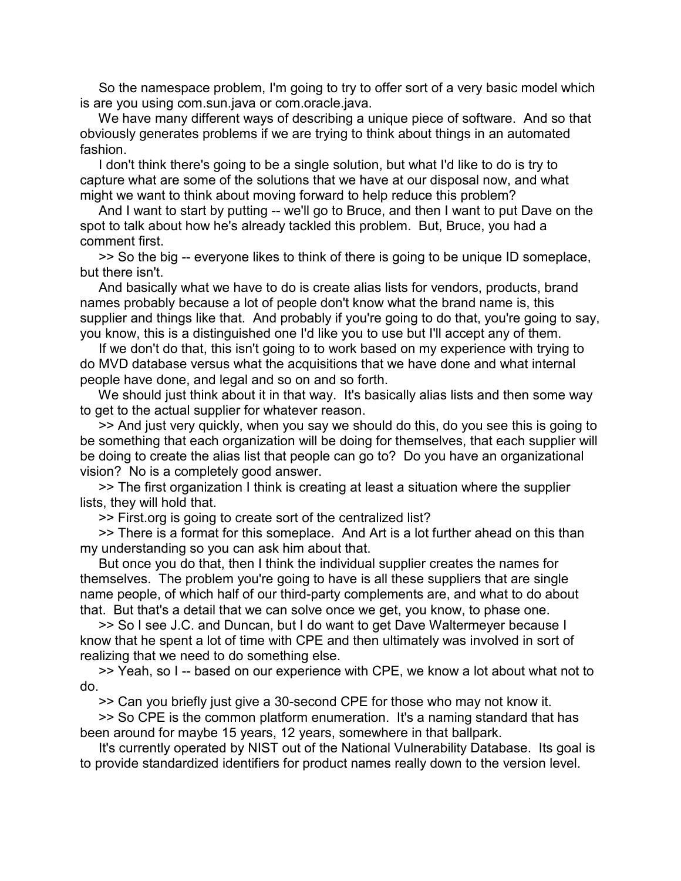So the namespace problem, I'm going to try to offer sort of a very basic model which is are you using com.sun.java or com.oracle.java.

 We have many different ways of describing a unique piece of software. And so that obviously generates problems if we are trying to think about things in an automated fashion.

 I don't think there's going to be a single solution, but what I'd like to do is try to capture what are some of the solutions that we have at our disposal now, and what might we want to think about moving forward to help reduce this problem?

 And I want to start by putting -- we'll go to Bruce, and then I want to put Dave on the spot to talk about how he's already tackled this problem. But, Bruce, you had a comment first.

 >> So the big -- everyone likes to think of there is going to be unique ID someplace, but there isn't.

 And basically what we have to do is create alias lists for vendors, products, brand names probably because a lot of people don't know what the brand name is, this supplier and things like that. And probably if you're going to do that, you're going to say, you know, this is a distinguished one I'd like you to use but I'll accept any of them.

 If we don't do that, this isn't going to to work based on my experience with trying to do MVD database versus what the acquisitions that we have done and what internal people have done, and legal and so on and so forth.

We should just think about it in that way. It's basically alias lists and then some way to get to the actual supplier for whatever reason.

 >> And just very quickly, when you say we should do this, do you see this is going to be something that each organization will be doing for themselves, that each supplier will be doing to create the alias list that people can go to? Do you have an organizational vision? No is a completely good answer.

 >> The first organization I think is creating at least a situation where the supplier lists, they will hold that.

>> First.org is going to create sort of the centralized list?

 >> There is a format for this someplace. And Art is a lot further ahead on this than my understanding so you can ask him about that.

 But once you do that, then I think the individual supplier creates the names for themselves. The problem you're going to have is all these suppliers that are single name people, of which half of our third-party complements are, and what to do about that. But that's a detail that we can solve once we get, you know, to phase one.

 >> So I see J.C. and Duncan, but I do want to get Dave Waltermeyer because I know that he spent a lot of time with CPE and then ultimately was involved in sort of realizing that we need to do something else.

 >> Yeah, so I -- based on our experience with CPE, we know a lot about what not to do.

>> Can you briefly just give a 30-second CPE for those who may not know it.

 >> So CPE is the common platform enumeration. It's a naming standard that has been around for maybe 15 years, 12 years, somewhere in that ballpark.

 It's currently operated by NIST out of the National Vulnerability Database. Its goal is to provide standardized identifiers for product names really down to the version level.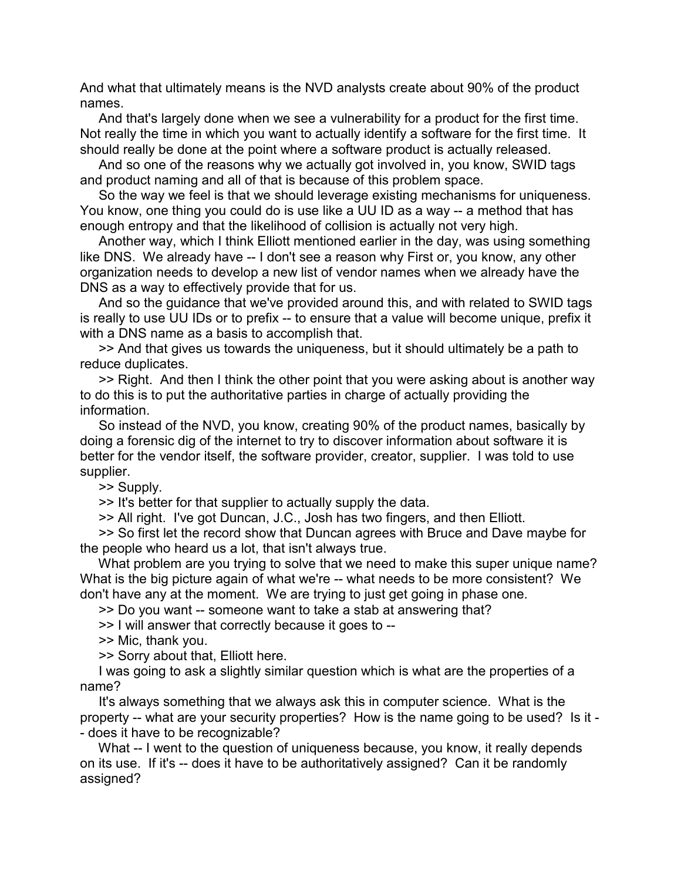And what that ultimately means is the NVD analysts create about 90% of the product names.

 And that's largely done when we see a vulnerability for a product for the first time. Not really the time in which you want to actually identify a software for the first time. It should really be done at the point where a software product is actually released.

 And so one of the reasons why we actually got involved in, you know, SWID tags and product naming and all of that is because of this problem space.

 So the way we feel is that we should leverage existing mechanisms for uniqueness. You know, one thing you could do is use like a UU ID as a way -- a method that has enough entropy and that the likelihood of collision is actually not very high.

 Another way, which I think Elliott mentioned earlier in the day, was using something like DNS. We already have -- I don't see a reason why First or, you know, any other organization needs to develop a new list of vendor names when we already have the DNS as a way to effectively provide that for us.

 And so the guidance that we've provided around this, and with related to SWID tags is really to use UU IDs or to prefix -- to ensure that a value will become unique, prefix it with a DNS name as a basis to accomplish that.

 >> And that gives us towards the uniqueness, but it should ultimately be a path to reduce duplicates.

 >> Right. And then I think the other point that you were asking about is another way to do this is to put the authoritative parties in charge of actually providing the information.

 So instead of the NVD, you know, creating 90% of the product names, basically by doing a forensic dig of the internet to try to discover information about software it is better for the vendor itself, the software provider, creator, supplier. I was told to use supplier.

>> Supply.

>> It's better for that supplier to actually supply the data.

>> All right. I've got Duncan, J.C., Josh has two fingers, and then Elliott.

 >> So first let the record show that Duncan agrees with Bruce and Dave maybe for the people who heard us a lot, that isn't always true.

 What problem are you trying to solve that we need to make this super unique name? What is the big picture again of what we're -- what needs to be more consistent? We don't have any at the moment. We are trying to just get going in phase one.

>> Do you want -- someone want to take a stab at answering that?

>> I will answer that correctly because it goes to --

>> Mic, thank you.

>> Sorry about that, Elliott here.

 I was going to ask a slightly similar question which is what are the properties of a name?

 It's always something that we always ask this in computer science. What is the property -- what are your security properties? How is the name going to be used? Is it - - does it have to be recognizable?

What -- I went to the question of uniqueness because, you know, it really depends on its use. If it's -- does it have to be authoritatively assigned? Can it be randomly assigned?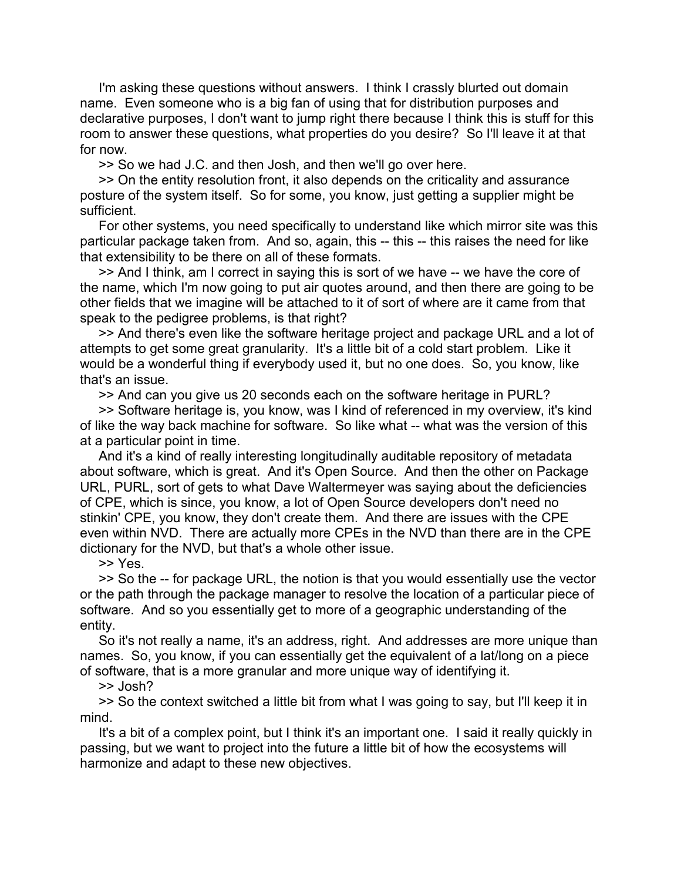I'm asking these questions without answers. I think I crassly blurted out domain name. Even someone who is a big fan of using that for distribution purposes and declarative purposes, I don't want to jump right there because I think this is stuff for this room to answer these questions, what properties do you desire? So I'll leave it at that for now.

>> So we had J.C. and then Josh, and then we'll go over here.

 >> On the entity resolution front, it also depends on the criticality and assurance posture of the system itself. So for some, you know, just getting a supplier might be sufficient.

 For other systems, you need specifically to understand like which mirror site was this particular package taken from. And so, again, this -- this -- this raises the need for like that extensibility to be there on all of these formats.

 >> And I think, am I correct in saying this is sort of we have -- we have the core of the name, which I'm now going to put air quotes around, and then there are going to be other fields that we imagine will be attached to it of sort of where are it came from that speak to the pedigree problems, is that right?

 >> And there's even like the software heritage project and package URL and a lot of attempts to get some great granularity. It's a little bit of a cold start problem. Like it would be a wonderful thing if everybody used it, but no one does. So, you know, like that's an issue.

>> And can you give us 20 seconds each on the software heritage in PURL?

 >> Software heritage is, you know, was I kind of referenced in my overview, it's kind of like the way back machine for software. So like what -- what was the version of this at a particular point in time.

 And it's a kind of really interesting longitudinally auditable repository of metadata about software, which is great. And it's Open Source. And then the other on Package URL, PURL, sort of gets to what Dave Waltermeyer was saying about the deficiencies of CPE, which is since, you know, a lot of Open Source developers don't need no stinkin' CPE, you know, they don't create them. And there are issues with the CPE even within NVD. There are actually more CPEs in the NVD than there are in the CPE dictionary for the NVD, but that's a whole other issue.

>> Yes.

 >> So the -- for package URL, the notion is that you would essentially use the vector or the path through the package manager to resolve the location of a particular piece of software. And so you essentially get to more of a geographic understanding of the entity.

 So it's not really a name, it's an address, right. And addresses are more unique than names. So, you know, if you can essentially get the equivalent of a lat/long on a piece of software, that is a more granular and more unique way of identifying it.

>> Josh?

 >> So the context switched a little bit from what I was going to say, but I'll keep it in mind.

 It's a bit of a complex point, but I think it's an important one. I said it really quickly in passing, but we want to project into the future a little bit of how the ecosystems will harmonize and adapt to these new objectives.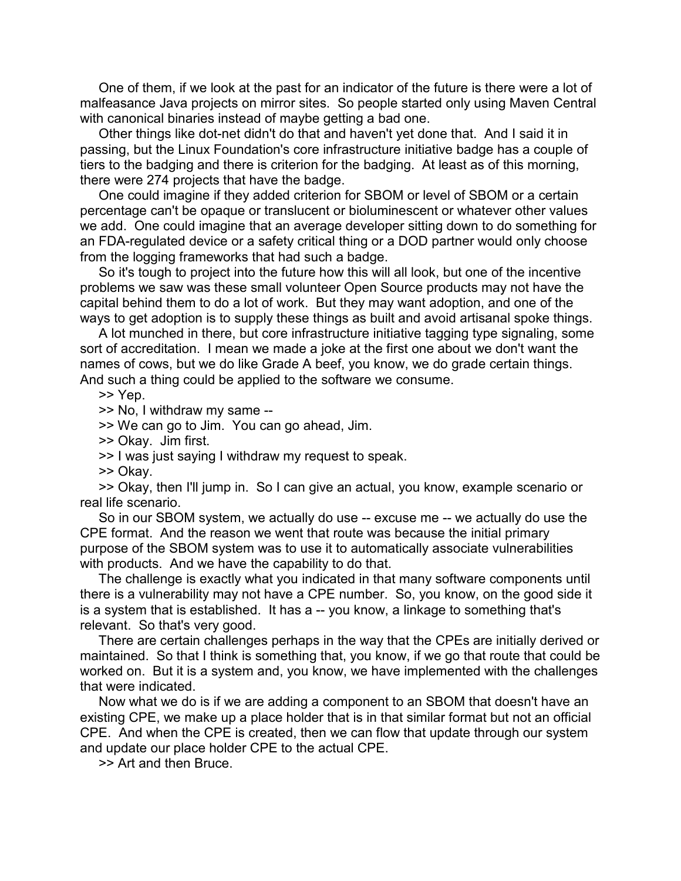One of them, if we look at the past for an indicator of the future is there were a lot of malfeasance Java projects on mirror sites. So people started only using Maven Central with canonical binaries instead of maybe getting a bad one.

 Other things like dot-net didn't do that and haven't yet done that. And I said it in passing, but the Linux Foundation's core infrastructure initiative badge has a couple of tiers to the badging and there is criterion for the badging. At least as of this morning, there were 274 projects that have the badge.

 One could imagine if they added criterion for SBOM or level of SBOM or a certain percentage can't be opaque or translucent or bioluminescent or whatever other values we add. One could imagine that an average developer sitting down to do something for an FDA-regulated device or a safety critical thing or a DOD partner would only choose from the logging frameworks that had such a badge.

 So it's tough to project into the future how this will all look, but one of the incentive problems we saw was these small volunteer Open Source products may not have the capital behind them to do a lot of work. But they may want adoption, and one of the ways to get adoption is to supply these things as built and avoid artisanal spoke things.

 A lot munched in there, but core infrastructure initiative tagging type signaling, some sort of accreditation. I mean we made a joke at the first one about we don't want the names of cows, but we do like Grade A beef, you know, we do grade certain things. And such a thing could be applied to the software we consume.

>> Yep.

>> No, I withdraw my same --

>> We can go to Jim. You can go ahead, Jim.

>> Okay. Jim first.

>> I was just saying I withdraw my request to speak.

>> Okay.

 >> Okay, then I'll jump in. So I can give an actual, you know, example scenario or real life scenario.

 So in our SBOM system, we actually do use -- excuse me -- we actually do use the CPE format. And the reason we went that route was because the initial primary purpose of the SBOM system was to use it to automatically associate vulnerabilities with products. And we have the capability to do that.

 The challenge is exactly what you indicated in that many software components until there is a vulnerability may not have a CPE number. So, you know, on the good side it is a system that is established. It has a -- you know, a linkage to something that's relevant. So that's very good.

 There are certain challenges perhaps in the way that the CPEs are initially derived or maintained. So that I think is something that, you know, if we go that route that could be worked on. But it is a system and, you know, we have implemented with the challenges that were indicated.

 Now what we do is if we are adding a component to an SBOM that doesn't have an existing CPE, we make up a place holder that is in that similar format but not an official CPE. And when the CPE is created, then we can flow that update through our system and update our place holder CPE to the actual CPE.

>> Art and then Bruce.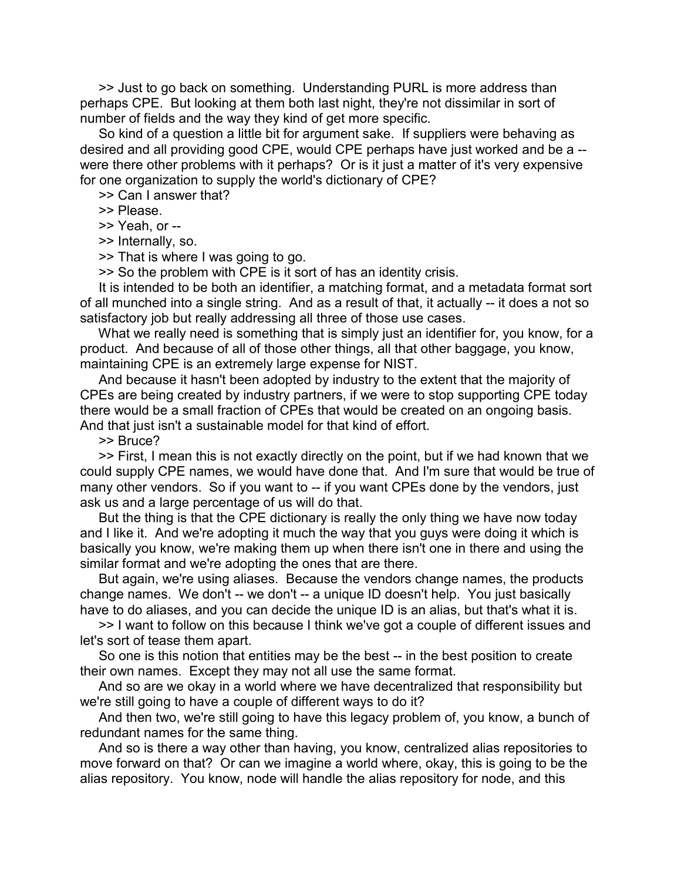>> Just to go back on something. Understanding PURL is more address than perhaps CPE. But looking at them both last night, they're not dissimilar in sort of number of fields and the way they kind of get more specific.

 So kind of a question a little bit for argument sake. If suppliers were behaving as desired and all providing good CPE, would CPE perhaps have just worked and be a - were there other problems with it perhaps? Or is it just a matter of it's very expensive for one organization to supply the world's dictionary of CPE?

>> Can I answer that?

>> Please.

>> Yeah, or --

>> Internally, so.

>> That is where I was going to go.

>> So the problem with CPE is it sort of has an identity crisis.

 It is intended to be both an identifier, a matching format, and a metadata format sort of all munched into a single string. And as a result of that, it actually -- it does a not so satisfactory job but really addressing all three of those use cases.

What we really need is something that is simply just an identifier for, you know, for a product. And because of all of those other things, all that other baggage, you know, maintaining CPE is an extremely large expense for NIST.

 And because it hasn't been adopted by industry to the extent that the majority of CPEs are being created by industry partners, if we were to stop supporting CPE today there would be a small fraction of CPEs that would be created on an ongoing basis. And that just isn't a sustainable model for that kind of effort.

>> Bruce?

 >> First, I mean this is not exactly directly on the point, but if we had known that we could supply CPE names, we would have done that. And I'm sure that would be true of many other vendors. So if you want to -- if you want CPEs done by the vendors, just ask us and a large percentage of us will do that.

 But the thing is that the CPE dictionary is really the only thing we have now today and I like it. And we're adopting it much the way that you guys were doing it which is basically you know, we're making them up when there isn't one in there and using the similar format and we're adopting the ones that are there.

 But again, we're using aliases. Because the vendors change names, the products change names. We don't -- we don't -- a unique ID doesn't help. You just basically have to do aliases, and you can decide the unique ID is an alias, but that's what it is.

 >> I want to follow on this because I think we've got a couple of different issues and let's sort of tease them apart.

So one is this notion that entities may be the best -- in the best position to create their own names. Except they may not all use the same format.

 And so are we okay in a world where we have decentralized that responsibility but we're still going to have a couple of different ways to do it?

 And then two, we're still going to have this legacy problem of, you know, a bunch of redundant names for the same thing.

 And so is there a way other than having, you know, centralized alias repositories to move forward on that? Or can we imagine a world where, okay, this is going to be the alias repository. You know, node will handle the alias repository for node, and this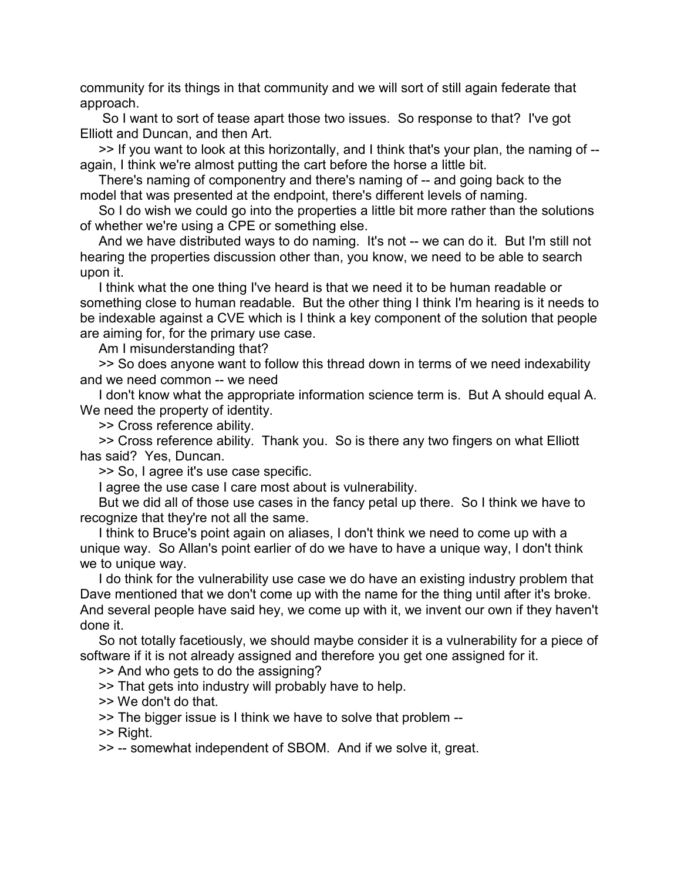community for its things in that community and we will sort of still again federate that approach.

 So I want to sort of tease apart those two issues. So response to that? I've got Elliott and Duncan, and then Art.

 >> If you want to look at this horizontally, and I think that's your plan, the naming of - again, I think we're almost putting the cart before the horse a little bit.

 There's naming of componentry and there's naming of -- and going back to the model that was presented at the endpoint, there's different levels of naming.

 So I do wish we could go into the properties a little bit more rather than the solutions of whether we're using a CPE or something else.

 And we have distributed ways to do naming. It's not -- we can do it. But I'm still not hearing the properties discussion other than, you know, we need to be able to search upon it.

 I think what the one thing I've heard is that we need it to be human readable or something close to human readable. But the other thing I think I'm hearing is it needs to be indexable against a CVE which is I think a key component of the solution that people are aiming for, for the primary use case.

Am I misunderstanding that?

 >> So does anyone want to follow this thread down in terms of we need indexability and we need common -- we need

 I don't know what the appropriate information science term is. But A should equal A. We need the property of identity.

>> Cross reference ability.

 >> Cross reference ability. Thank you. So is there any two fingers on what Elliott has said? Yes, Duncan.

>> So, I agree it's use case specific.

I agree the use case I care most about is vulnerability.

 But we did all of those use cases in the fancy petal up there. So I think we have to recognize that they're not all the same.

 I think to Bruce's point again on aliases, I don't think we need to come up with a unique way. So Allan's point earlier of do we have to have a unique way, I don't think we to unique way.

 I do think for the vulnerability use case we do have an existing industry problem that Dave mentioned that we don't come up with the name for the thing until after it's broke. And several people have said hey, we come up with it, we invent our own if they haven't done it.

 So not totally facetiously, we should maybe consider it is a vulnerability for a piece of software if it is not already assigned and therefore you get one assigned for it.

>> And who gets to do the assigning?

>> That gets into industry will probably have to help.

>> We don't do that.

>> The bigger issue is I think we have to solve that problem --

>> Right.

>> -- somewhat independent of SBOM. And if we solve it, great.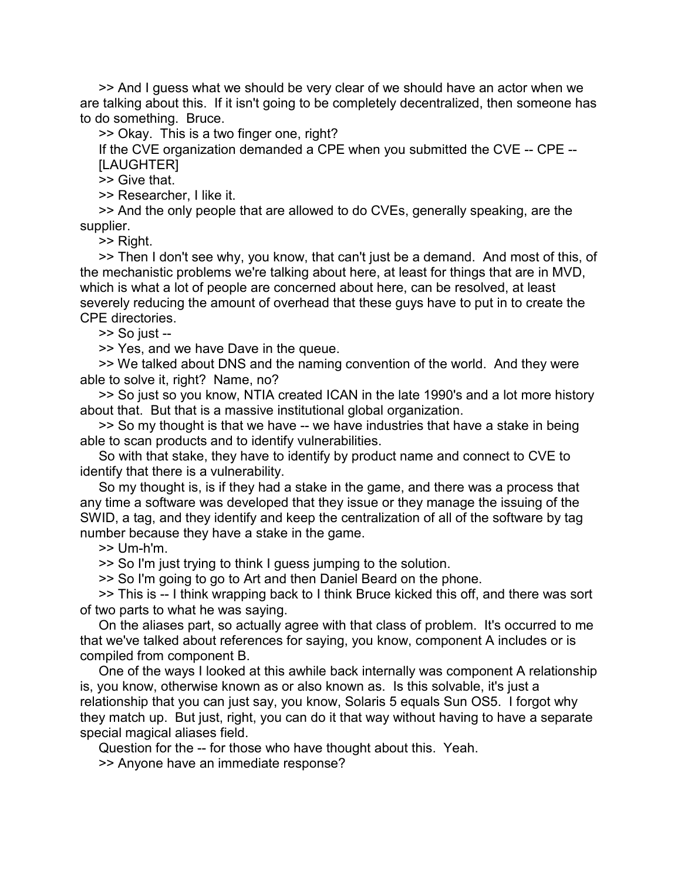>> And I guess what we should be very clear of we should have an actor when we are talking about this. If it isn't going to be completely decentralized, then someone has to do something. Bruce.

>> Okay. This is a two finger one, right?

 If the CVE organization demanded a CPE when you submitted the CVE -- CPE -- [LAUGHTER]

>> Give that.

>> Researcher, I like it.

 >> And the only people that are allowed to do CVEs, generally speaking, are the supplier.

>> Right.

 >> Then I don't see why, you know, that can't just be a demand. And most of this, of the mechanistic problems we're talking about here, at least for things that are in MVD, which is what a lot of people are concerned about here, can be resolved, at least severely reducing the amount of overhead that these guys have to put in to create the CPE directories.

>> So just --

>> Yes, and we have Dave in the queue.

 >> We talked about DNS and the naming convention of the world. And they were able to solve it, right? Name, no?

 >> So just so you know, NTIA created ICAN in the late 1990's and a lot more history about that. But that is a massive institutional global organization.

 >> So my thought is that we have -- we have industries that have a stake in being able to scan products and to identify vulnerabilities.

 So with that stake, they have to identify by product name and connect to CVE to identify that there is a vulnerability.

 So my thought is, is if they had a stake in the game, and there was a process that any time a software was developed that they issue or they manage the issuing of the SWID, a tag, and they identify and keep the centralization of all of the software by tag number because they have a stake in the game.

>> Um-h'm.

>> So I'm just trying to think I guess jumping to the solution.

>> So I'm going to go to Art and then Daniel Beard on the phone.

 >> This is -- I think wrapping back to I think Bruce kicked this off, and there was sort of two parts to what he was saying.

 On the aliases part, so actually agree with that class of problem. It's occurred to me that we've talked about references for saying, you know, component A includes or is compiled from component B.

 One of the ways I looked at this awhile back internally was component A relationship is, you know, otherwise known as or also known as. Is this solvable, it's just a relationship that you can just say, you know, Solaris 5 equals Sun OS5. I forgot why they match up. But just, right, you can do it that way without having to have a separate special magical aliases field.

 Question for the -- for those who have thought about this. Yeah. >> Anyone have an immediate response?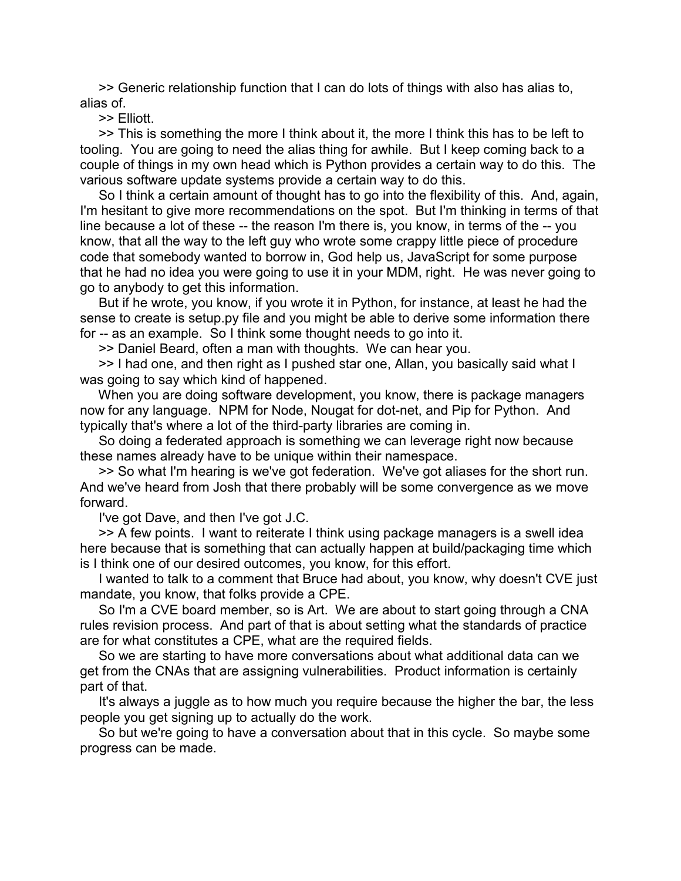>> Generic relationship function that I can do lots of things with also has alias to, alias of.

>> Elliott.

 >> This is something the more I think about it, the more I think this has to be left to tooling. You are going to need the alias thing for awhile. But I keep coming back to a couple of things in my own head which is Python provides a certain way to do this. The various software update systems provide a certain way to do this.

 So I think a certain amount of thought has to go into the flexibility of this. And, again, I'm hesitant to give more recommendations on the spot. But I'm thinking in terms of that line because a lot of these -- the reason I'm there is, you know, in terms of the -- you know, that all the way to the left guy who wrote some crappy little piece of procedure code that somebody wanted to borrow in, God help us, JavaScript for some purpose that he had no idea you were going to use it in your MDM, right. He was never going to go to anybody to get this information.

 But if he wrote, you know, if you wrote it in Python, for instance, at least he had the sense to create is setup.py file and you might be able to derive some information there for -- as an example. So I think some thought needs to go into it.

>> Daniel Beard, often a man with thoughts. We can hear you.

 >> I had one, and then right as I pushed star one, Allan, you basically said what I was going to say which kind of happened.

 When you are doing software development, you know, there is package managers now for any language. NPM for Node, Nougat for dot-net, and Pip for Python. And typically that's where a lot of the third-party libraries are coming in.

 So doing a federated approach is something we can leverage right now because these names already have to be unique within their namespace.

 >> So what I'm hearing is we've got federation. We've got aliases for the short run. And we've heard from Josh that there probably will be some convergence as we move forward.

I've got Dave, and then I've got J.C.

 >> A few points. I want to reiterate I think using package managers is a swell idea here because that is something that can actually happen at build/packaging time which is I think one of our desired outcomes, you know, for this effort.

 I wanted to talk to a comment that Bruce had about, you know, why doesn't CVE just mandate, you know, that folks provide a CPE.

 So I'm a CVE board member, so is Art. We are about to start going through a CNA rules revision process. And part of that is about setting what the standards of practice are for what constitutes a CPE, what are the required fields.

 So we are starting to have more conversations about what additional data can we get from the CNAs that are assigning vulnerabilities. Product information is certainly part of that.

 It's always a juggle as to how much you require because the higher the bar, the less people you get signing up to actually do the work.

 So but we're going to have a conversation about that in this cycle. So maybe some progress can be made.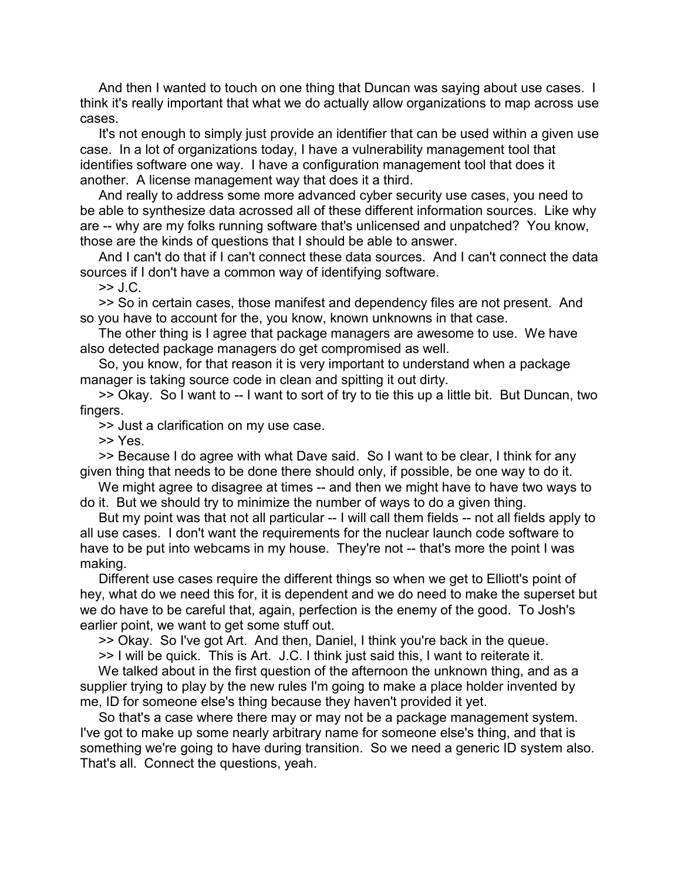And then I wanted to touch on one thing that Duncan was saying about use cases. I think it's really important that what we do actually allow organizations to map across use cases.

 It's not enough to simply just provide an identifier that can be used within a given use case. In a lot of organizations today, I have a vulnerability management tool that identifies software one way. I have a configuration management tool that does it another. A license management way that does it a third.

 And really to address some more advanced cyber security use cases, you need to be able to synthesize data acrossed all of these different information sources. Like why are -- why are my folks running software that's unlicensed and unpatched? You know, those are the kinds of questions that I should be able to answer.

 And I can't do that if I can't connect these data sources. And I can't connect the data sources if I don't have a common way of identifying software.

 $>>$  J.C.

 >> So in certain cases, those manifest and dependency files are not present. And so you have to account for the, you know, known unknowns in that case.

 The other thing is I agree that package managers are awesome to use. We have also detected package managers do get compromised as well.

 So, you know, for that reason it is very important to understand when a package manager is taking source code in clean and spitting it out dirty.

 >> Okay. So I want to -- I want to sort of try to tie this up a little bit. But Duncan, two fingers.

>> Just a clarification on my use case.

>> Yes.

 >> Because I do agree with what Dave said. So I want to be clear, I think for any given thing that needs to be done there should only, if possible, be one way to do it.

We might agree to disagree at times -- and then we might have to have two ways to do it. But we should try to minimize the number of ways to do a given thing.

 But my point was that not all particular -- I will call them fields -- not all fields apply to all use cases. I don't want the requirements for the nuclear launch code software to have to be put into webcams in my house. They're not -- that's more the point I was making.

 Different use cases require the different things so when we get to Elliott's point of hey, what do we need this for, it is dependent and we do need to make the superset but we do have to be careful that, again, perfection is the enemy of the good. To Josh's earlier point, we want to get some stuff out.

>> Okay. So I've got Art. And then, Daniel, I think you're back in the queue.

>> I will be quick. This is Art. J.C. I think just said this, I want to reiterate it.

 We talked about in the first question of the afternoon the unknown thing, and as a supplier trying to play by the new rules I'm going to make a place holder invented by me, ID for someone else's thing because they haven't provided it yet.

 So that's a case where there may or may not be a package management system. I've got to make up some nearly arbitrary name for someone else's thing, and that is something we're going to have during transition. So we need a generic ID system also. That's all. Connect the questions, yeah.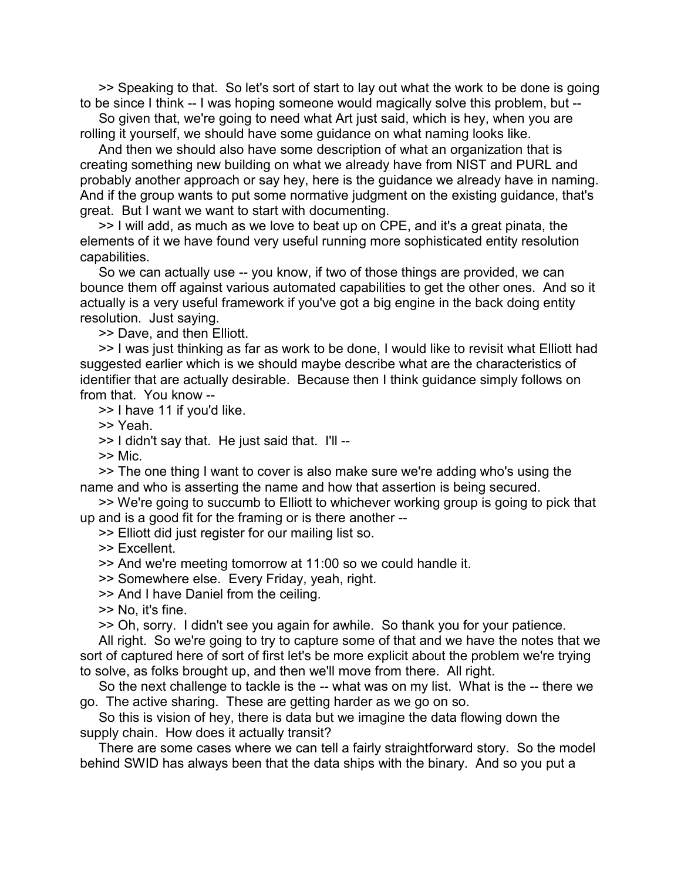>> Speaking to that. So let's sort of start to lay out what the work to be done is going to be since I think -- I was hoping someone would magically solve this problem, but --

 So given that, we're going to need what Art just said, which is hey, when you are rolling it yourself, we should have some guidance on what naming looks like.

 And then we should also have some description of what an organization that is creating something new building on what we already have from NIST and PURL and probably another approach or say hey, here is the guidance we already have in naming. And if the group wants to put some normative judgment on the existing guidance, that's great. But I want we want to start with documenting.

 >> I will add, as much as we love to beat up on CPE, and it's a great pinata, the elements of it we have found very useful running more sophisticated entity resolution capabilities.

 So we can actually use -- you know, if two of those things are provided, we can bounce them off against various automated capabilities to get the other ones. And so it actually is a very useful framework if you've got a big engine in the back doing entity resolution. Just saying.

>> Dave, and then Elliott.

 >> I was just thinking as far as work to be done, I would like to revisit what Elliott had suggested earlier which is we should maybe describe what are the characteristics of identifier that are actually desirable. Because then I think guidance simply follows on from that. You know --

>> I have 11 if you'd like.

>> Yeah.

>> I didn't say that. He just said that. I'll --

>> Mic.

 >> The one thing I want to cover is also make sure we're adding who's using the name and who is asserting the name and how that assertion is being secured.

 >> We're going to succumb to Elliott to whichever working group is going to pick that up and is a good fit for the framing or is there another --

>> Elliott did just register for our mailing list so.

>> Excellent.

>> And we're meeting tomorrow at 11:00 so we could handle it.

>> Somewhere else. Every Friday, yeah, right.

>> And I have Daniel from the ceiling.

>> No, it's fine.

>> Oh, sorry. I didn't see you again for awhile. So thank you for your patience.

 All right. So we're going to try to capture some of that and we have the notes that we sort of captured here of sort of first let's be more explicit about the problem we're trying to solve, as folks brought up, and then we'll move from there. All right.

 So the next challenge to tackle is the -- what was on my list. What is the -- there we go. The active sharing. These are getting harder as we go on so.

 So this is vision of hey, there is data but we imagine the data flowing down the supply chain. How does it actually transit?

 There are some cases where we can tell a fairly straightforward story. So the model behind SWID has always been that the data ships with the binary. And so you put a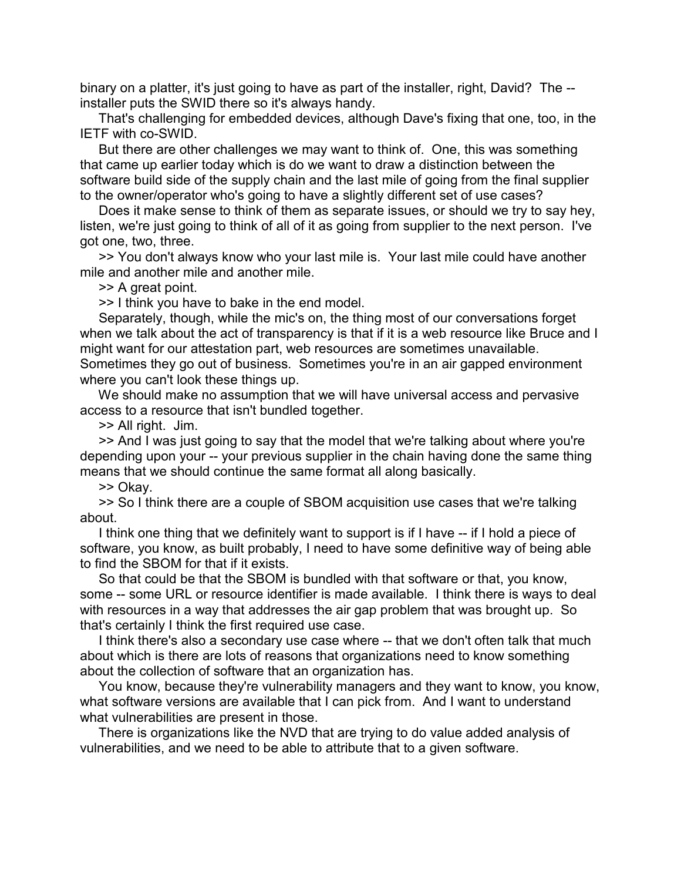binary on a platter, it's just going to have as part of the installer, right, David? The - installer puts the SWID there so it's always handy.

 That's challenging for embedded devices, although Dave's fixing that one, too, in the IETF with co-SWID.

 But there are other challenges we may want to think of. One, this was something that came up earlier today which is do we want to draw a distinction between the software build side of the supply chain and the last mile of going from the final supplier to the owner/operator who's going to have a slightly different set of use cases?

 Does it make sense to think of them as separate issues, or should we try to say hey, listen, we're just going to think of all of it as going from supplier to the next person. I've got one, two, three.

 >> You don't always know who your last mile is. Your last mile could have another mile and another mile and another mile.

>> A great point.

>> I think you have to bake in the end model.

 Separately, though, while the mic's on, the thing most of our conversations forget when we talk about the act of transparency is that if it is a web resource like Bruce and I might want for our attestation part, web resources are sometimes unavailable. Sometimes they go out of business. Sometimes you're in an air gapped environment where you can't look these things up.

 We should make no assumption that we will have universal access and pervasive access to a resource that isn't bundled together.

>> All right. Jim.

 >> And I was just going to say that the model that we're talking about where you're depending upon your -- your previous supplier in the chain having done the same thing means that we should continue the same format all along basically.

>> Okay.

 >> So I think there are a couple of SBOM acquisition use cases that we're talking about.

 I think one thing that we definitely want to support is if I have -- if I hold a piece of software, you know, as built probably, I need to have some definitive way of being able to find the SBOM for that if it exists.

 So that could be that the SBOM is bundled with that software or that, you know, some -- some URL or resource identifier is made available. I think there is ways to deal with resources in a way that addresses the air gap problem that was brought up. So that's certainly I think the first required use case.

I think there's also a secondary use case where -- that we don't often talk that much about which is there are lots of reasons that organizations need to know something about the collection of software that an organization has.

 You know, because they're vulnerability managers and they want to know, you know, what software versions are available that I can pick from. And I want to understand what vulnerabilities are present in those.

 There is organizations like the NVD that are trying to do value added analysis of vulnerabilities, and we need to be able to attribute that to a given software.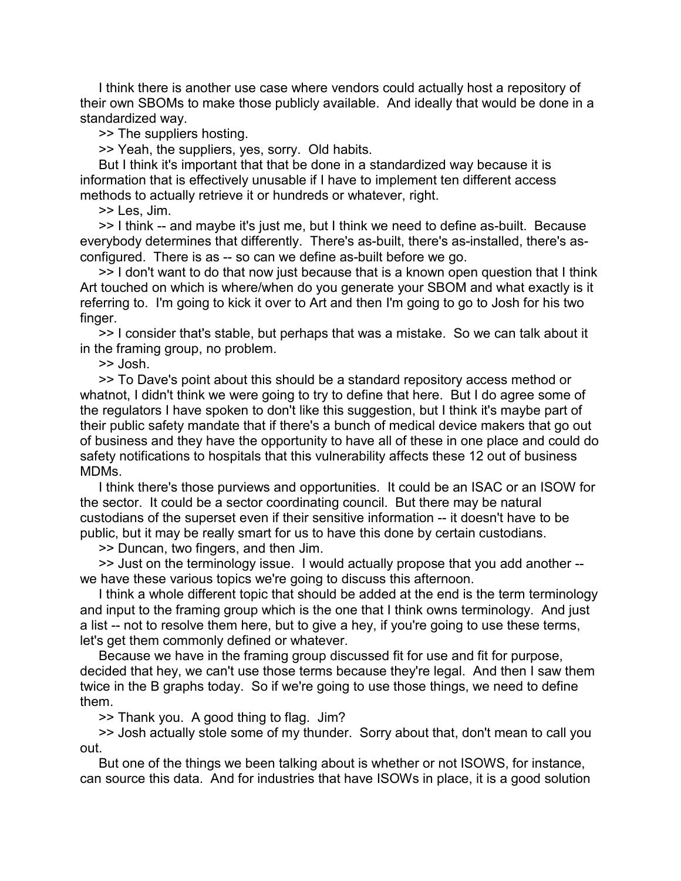I think there is another use case where vendors could actually host a repository of their own SBOMs to make those publicly available. And ideally that would be done in a standardized way.

>> The suppliers hosting.

>> Yeah, the suppliers, yes, sorry. Old habits.

 But I think it's important that that be done in a standardized way because it is information that is effectively unusable if I have to implement ten different access methods to actually retrieve it or hundreds or whatever, right.

>> Les, Jim.

 >> I think -- and maybe it's just me, but I think we need to define as-built. Because everybody determines that differently. There's as-built, there's as-installed, there's asconfigured. There is as -- so can we define as-built before we go.

 >> I don't want to do that now just because that is a known open question that I think Art touched on which is where/when do you generate your SBOM and what exactly is it referring to. I'm going to kick it over to Art and then I'm going to go to Josh for his two finger.

 >> I consider that's stable, but perhaps that was a mistake. So we can talk about it in the framing group, no problem.

>> Josh.

 >> To Dave's point about this should be a standard repository access method or whatnot, I didn't think we were going to try to define that here. But I do agree some of the regulators I have spoken to don't like this suggestion, but I think it's maybe part of their public safety mandate that if there's a bunch of medical device makers that go out of business and they have the opportunity to have all of these in one place and could do safety notifications to hospitals that this vulnerability affects these 12 out of business MDMs.

 I think there's those purviews and opportunities. It could be an ISAC or an ISOW for the sector. It could be a sector coordinating council. But there may be natural custodians of the superset even if their sensitive information -- it doesn't have to be public, but it may be really smart for us to have this done by certain custodians.

>> Duncan, two fingers, and then Jim.

 >> Just on the terminology issue. I would actually propose that you add another - we have these various topics we're going to discuss this afternoon.

 I think a whole different topic that should be added at the end is the term terminology and input to the framing group which is the one that I think owns terminology. And just a list -- not to resolve them here, but to give a hey, if you're going to use these terms, let's get them commonly defined or whatever.

 Because we have in the framing group discussed fit for use and fit for purpose, decided that hey, we can't use those terms because they're legal. And then I saw them twice in the B graphs today. So if we're going to use those things, we need to define them.

>> Thank you. A good thing to flag. Jim?

 >> Josh actually stole some of my thunder. Sorry about that, don't mean to call you out.

 But one of the things we been talking about is whether or not ISOWS, for instance, can source this data. And for industries that have ISOWs in place, it is a good solution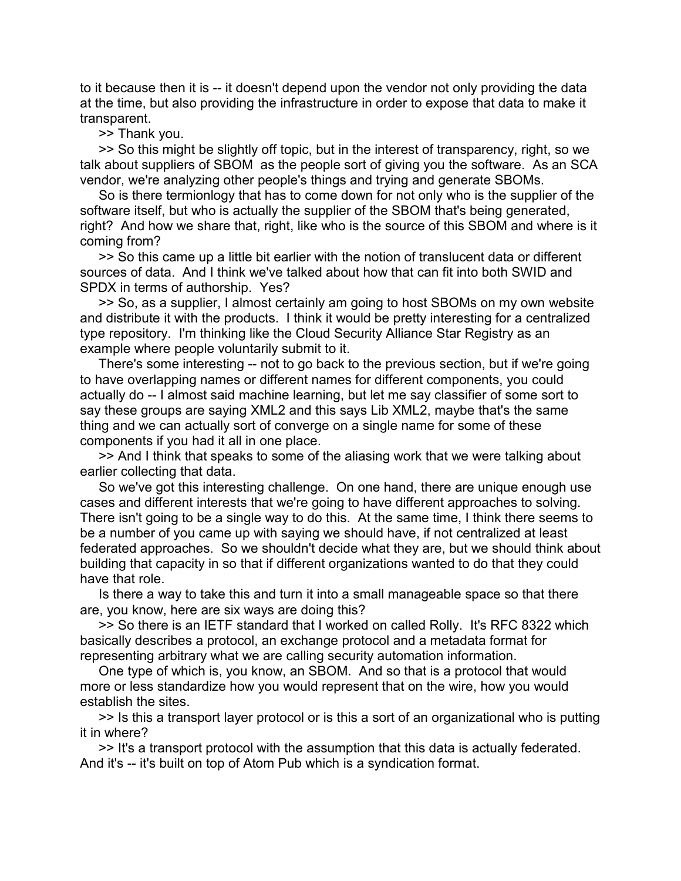to it because then it is -- it doesn't depend upon the vendor not only providing the data at the time, but also providing the infrastructure in order to expose that data to make it transparent.

>> Thank you.

 >> So this might be slightly off topic, but in the interest of transparency, right, so we talk about suppliers of SBOM as the people sort of giving you the software. As an SCA vendor, we're analyzing other people's things and trying and generate SBOMs.

 So is there termionlogy that has to come down for not only who is the supplier of the software itself, but who is actually the supplier of the SBOM that's being generated, right? And how we share that, right, like who is the source of this SBOM and where is it coming from?

 >> So this came up a little bit earlier with the notion of translucent data or different sources of data. And I think we've talked about how that can fit into both SWID and SPDX in terms of authorship. Yes?

 >> So, as a supplier, I almost certainly am going to host SBOMs on my own website and distribute it with the products. I think it would be pretty interesting for a centralized type repository. I'm thinking like the Cloud Security Alliance Star Registry as an example where people voluntarily submit to it.

 There's some interesting -- not to go back to the previous section, but if we're going to have overlapping names or different names for different components, you could actually do -- I almost said machine learning, but let me say classifier of some sort to say these groups are saying XML2 and this says Lib XML2, maybe that's the same thing and we can actually sort of converge on a single name for some of these components if you had it all in one place.

 >> And I think that speaks to some of the aliasing work that we were talking about earlier collecting that data.

 So we've got this interesting challenge. On one hand, there are unique enough use cases and different interests that we're going to have different approaches to solving. There isn't going to be a single way to do this. At the same time, I think there seems to be a number of you came up with saying we should have, if not centralized at least federated approaches. So we shouldn't decide what they are, but we should think about building that capacity in so that if different organizations wanted to do that they could have that role.

 Is there a way to take this and turn it into a small manageable space so that there are, you know, here are six ways are doing this?

 >> So there is an IETF standard that I worked on called Rolly. It's RFC 8322 which basically describes a protocol, an exchange protocol and a metadata format for representing arbitrary what we are calling security automation information.

 One type of which is, you know, an SBOM. And so that is a protocol that would more or less standardize how you would represent that on the wire, how you would establish the sites.

 >> Is this a transport layer protocol or is this a sort of an organizational who is putting it in where?

 >> It's a transport protocol with the assumption that this data is actually federated. And it's -- it's built on top of Atom Pub which is a syndication format.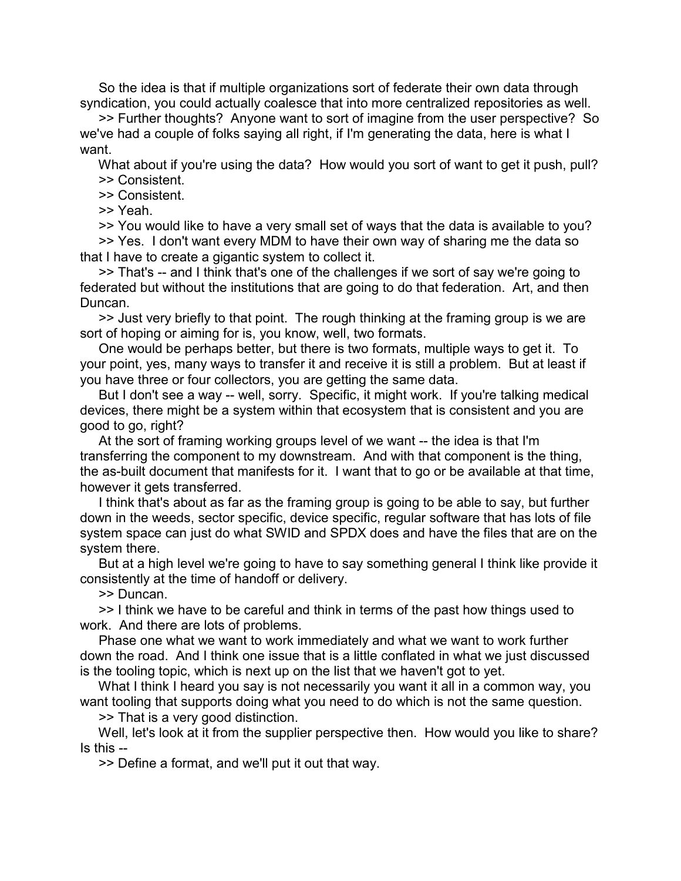So the idea is that if multiple organizations sort of federate their own data through syndication, you could actually coalesce that into more centralized repositories as well.

 >> Further thoughts? Anyone want to sort of imagine from the user perspective? So we've had a couple of folks saying all right, if I'm generating the data, here is what I want.

 What about if you're using the data? How would you sort of want to get it push, pull? >> Consistent.

>> Consistent.

>> Yeah.

>> You would like to have a very small set of ways that the data is available to you?

 >> Yes. I don't want every MDM to have their own way of sharing me the data so that I have to create a gigantic system to collect it.

 >> That's -- and I think that's one of the challenges if we sort of say we're going to federated but without the institutions that are going to do that federation. Art, and then Duncan.

 >> Just very briefly to that point. The rough thinking at the framing group is we are sort of hoping or aiming for is, you know, well, two formats.

 One would be perhaps better, but there is two formats, multiple ways to get it. To your point, yes, many ways to transfer it and receive it is still a problem. But at least if you have three or four collectors, you are getting the same data.

 But I don't see a way -- well, sorry. Specific, it might work. If you're talking medical devices, there might be a system within that ecosystem that is consistent and you are good to go, right?

 At the sort of framing working groups level of we want -- the idea is that I'm transferring the component to my downstream. And with that component is the thing, the as-built document that manifests for it. I want that to go or be available at that time, however it gets transferred.

 I think that's about as far as the framing group is going to be able to say, but further down in the weeds, sector specific, device specific, regular software that has lots of file system space can just do what SWID and SPDX does and have the files that are on the system there.

 But at a high level we're going to have to say something general I think like provide it consistently at the time of handoff or delivery.

>> Duncan.

 >> I think we have to be careful and think in terms of the past how things used to work. And there are lots of problems.

 Phase one what we want to work immediately and what we want to work further down the road. And I think one issue that is a little conflated in what we just discussed is the tooling topic, which is next up on the list that we haven't got to yet.

What I think I heard you say is not necessarily you want it all in a common way, you want tooling that supports doing what you need to do which is not the same question.

>> That is a very good distinction.

 Well, let's look at it from the supplier perspective then. How would you like to share? Is this --

>> Define a format, and we'll put it out that way.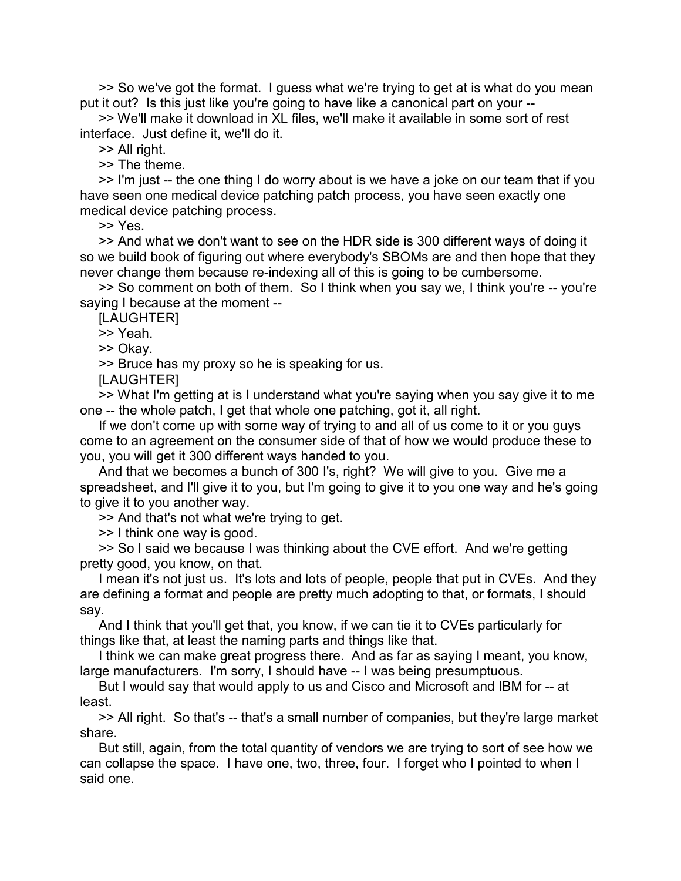>> So we've got the format. I guess what we're trying to get at is what do you mean put it out? Is this just like you're going to have like a canonical part on your --

 >> We'll make it download in XL files, we'll make it available in some sort of rest interface. Just define it, we'll do it.

>> All right.

>> The theme.

 >> I'm just -- the one thing I do worry about is we have a joke on our team that if you have seen one medical device patching patch process, you have seen exactly one medical device patching process.

>> Yes.

 >> And what we don't want to see on the HDR side is 300 different ways of doing it so we build book of figuring out where everybody's SBOMs are and then hope that they never change them because re-indexing all of this is going to be cumbersome.

 >> So comment on both of them. So I think when you say we, I think you're -- you're saying I because at the moment --

[LAUGHTER]

>> Yeah.

>> Okay.

>> Bruce has my proxy so he is speaking for us.

[LAUGHTER]

 >> What I'm getting at is I understand what you're saying when you say give it to me one -- the whole patch, I get that whole one patching, got it, all right.

 If we don't come up with some way of trying to and all of us come to it or you guys come to an agreement on the consumer side of that of how we would produce these to you, you will get it 300 different ways handed to you.

 And that we becomes a bunch of 300 I's, right? We will give to you. Give me a spreadsheet, and I'll give it to you, but I'm going to give it to you one way and he's going to give it to you another way.

>> And that's not what we're trying to get.

>> I think one way is good.

 >> So I said we because I was thinking about the CVE effort. And we're getting pretty good, you know, on that.

 I mean it's not just us. It's lots and lots of people, people that put in CVEs. And they are defining a format and people are pretty much adopting to that, or formats, I should say.

 And I think that you'll get that, you know, if we can tie it to CVEs particularly for things like that, at least the naming parts and things like that.

 I think we can make great progress there. And as far as saying I meant, you know, large manufacturers. I'm sorry, I should have -- I was being presumptuous.

 But I would say that would apply to us and Cisco and Microsoft and IBM for -- at least.

 >> All right. So that's -- that's a small number of companies, but they're large market share.

 But still, again, from the total quantity of vendors we are trying to sort of see how we can collapse the space. I have one, two, three, four. I forget who I pointed to when I said one.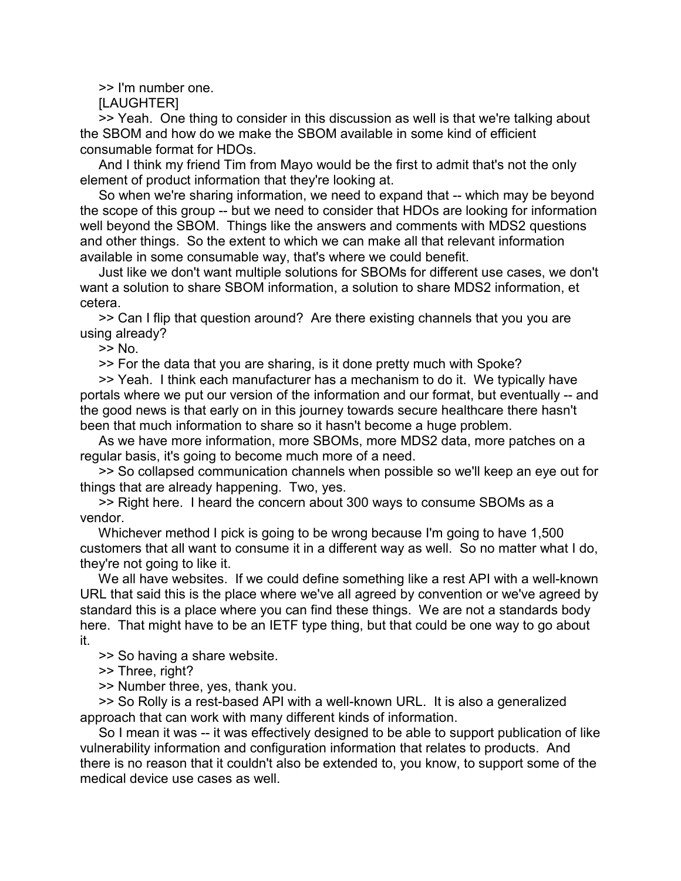>> I'm number one.

[LAUGHTER]

 >> Yeah. One thing to consider in this discussion as well is that we're talking about the SBOM and how do we make the SBOM available in some kind of efficient consumable format for HDOs.

 And I think my friend Tim from Mayo would be the first to admit that's not the only element of product information that they're looking at.

 So when we're sharing information, we need to expand that -- which may be beyond the scope of this group -- but we need to consider that HDOs are looking for information well beyond the SBOM. Things like the answers and comments with MDS2 questions and other things. So the extent to which we can make all that relevant information available in some consumable way, that's where we could benefit.

 Just like we don't want multiple solutions for SBOMs for different use cases, we don't want a solution to share SBOM information, a solution to share MDS2 information, et cetera.

 >> Can I flip that question around? Are there existing channels that you you are using already?

>> No.

>> For the data that you are sharing, is it done pretty much with Spoke?

 >> Yeah. I think each manufacturer has a mechanism to do it. We typically have portals where we put our version of the information and our format, but eventually -- and the good news is that early on in this journey towards secure healthcare there hasn't been that much information to share so it hasn't become a huge problem.

 As we have more information, more SBOMs, more MDS2 data, more patches on a regular basis, it's going to become much more of a need.

 >> So collapsed communication channels when possible so we'll keep an eye out for things that are already happening. Two, yes.

 >> Right here. I heard the concern about 300 ways to consume SBOMs as a vendor.

 Whichever method I pick is going to be wrong because I'm going to have 1,500 customers that all want to consume it in a different way as well. So no matter what I do, they're not going to like it.

 We all have websites. If we could define something like a rest API with a well-known URL that said this is the place where we've all agreed by convention or we've agreed by standard this is a place where you can find these things. We are not a standards body here. That might have to be an IETF type thing, but that could be one way to go about it.

>> So having a share website.

>> Three, right?

>> Number three, yes, thank you.

 >> So Rolly is a rest-based API with a well-known URL. It is also a generalized approach that can work with many different kinds of information.

 So I mean it was -- it was effectively designed to be able to support publication of like vulnerability information and configuration information that relates to products. And there is no reason that it couldn't also be extended to, you know, to support some of the medical device use cases as well.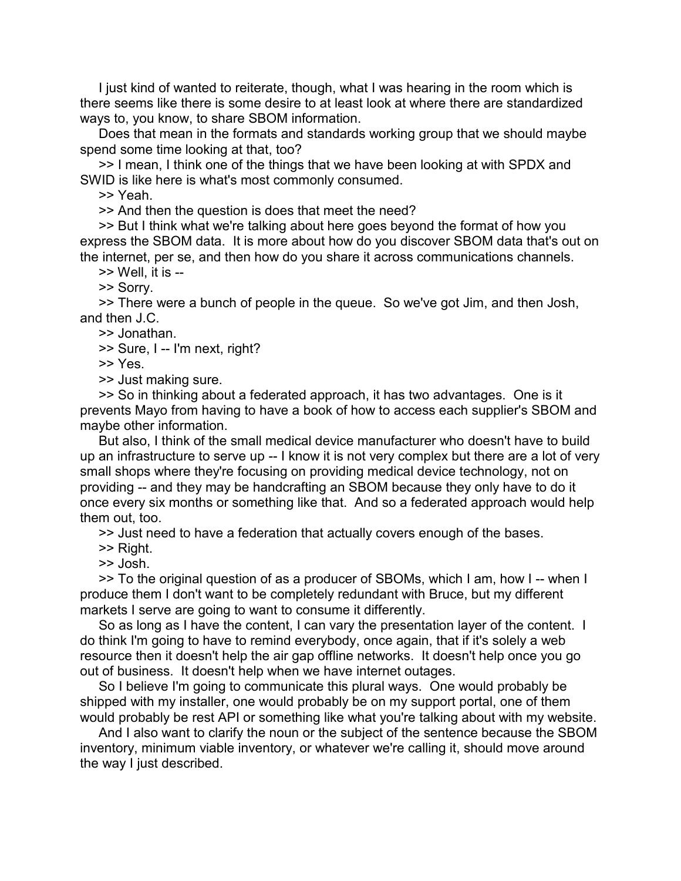I just kind of wanted to reiterate, though, what I was hearing in the room which is there seems like there is some desire to at least look at where there are standardized ways to, you know, to share SBOM information.

 Does that mean in the formats and standards working group that we should maybe spend some time looking at that, too?

 >> I mean, I think one of the things that we have been looking at with SPDX and SWID is like here is what's most commonly consumed.

>> Yeah.

>> And then the question is does that meet the need?

 >> But I think what we're talking about here goes beyond the format of how you express the SBOM data. It is more about how do you discover SBOM data that's out on the internet, per se, and then how do you share it across communications channels.

>> Well, it is --

>> Sorry.

 >> There were a bunch of people in the queue. So we've got Jim, and then Josh, and then J.C.

>> Jonathan.

>> Sure, I -- I'm next, right?

>> Yes.

>> Just making sure.

 >> So in thinking about a federated approach, it has two advantages. One is it prevents Mayo from having to have a book of how to access each supplier's SBOM and maybe other information.

 But also, I think of the small medical device manufacturer who doesn't have to build up an infrastructure to serve up -- I know it is not very complex but there are a lot of very small shops where they're focusing on providing medical device technology, not on providing -- and they may be handcrafting an SBOM because they only have to do it once every six months or something like that. And so a federated approach would help them out, too.

>> Just need to have a federation that actually covers enough of the bases.

>> Right.

>> Josh.

 >> To the original question of as a producer of SBOMs, which I am, how I -- when I produce them I don't want to be completely redundant with Bruce, but my different markets I serve are going to want to consume it differently.

 So as long as I have the content, I can vary the presentation layer of the content. I do think I'm going to have to remind everybody, once again, that if it's solely a web resource then it doesn't help the air gap offline networks. It doesn't help once you go out of business. It doesn't help when we have internet outages.

 So I believe I'm going to communicate this plural ways. One would probably be shipped with my installer, one would probably be on my support portal, one of them would probably be rest API or something like what you're talking about with my website.

 And I also want to clarify the noun or the subject of the sentence because the SBOM inventory, minimum viable inventory, or whatever we're calling it, should move around the way I just described.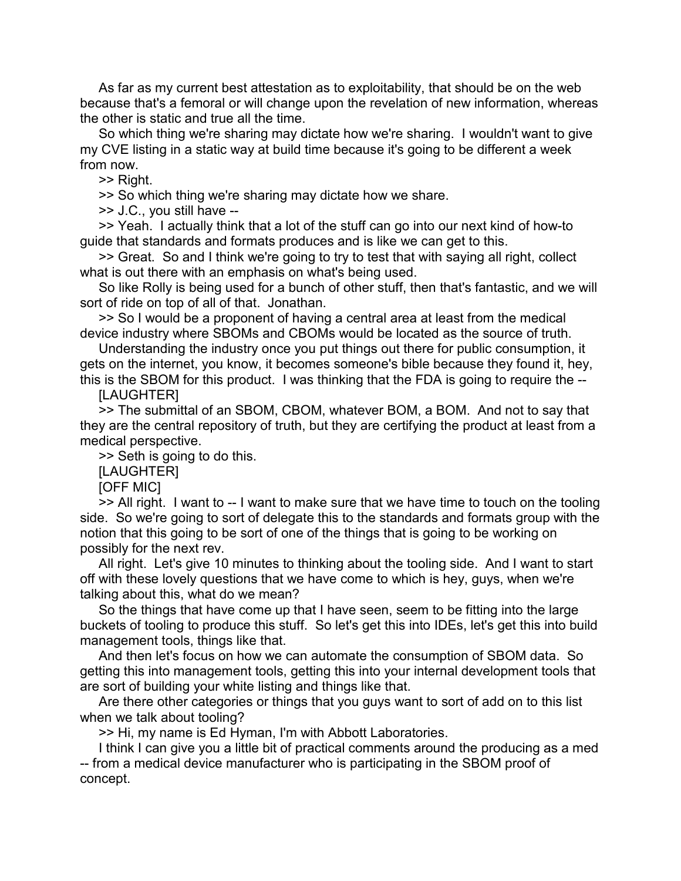As far as my current best attestation as to exploitability, that should be on the web because that's a femoral or will change upon the revelation of new information, whereas the other is static and true all the time.

 So which thing we're sharing may dictate how we're sharing. I wouldn't want to give my CVE listing in a static way at build time because it's going to be different a week from now.

>> Right.

>> So which thing we're sharing may dictate how we share.

>> J.C., you still have --

 >> Yeah. I actually think that a lot of the stuff can go into our next kind of how-to guide that standards and formats produces and is like we can get to this.

 >> Great. So and I think we're going to try to test that with saying all right, collect what is out there with an emphasis on what's being used.

 So like Rolly is being used for a bunch of other stuff, then that's fantastic, and we will sort of ride on top of all of that. Jonathan.

 >> So I would be a proponent of having a central area at least from the medical device industry where SBOMs and CBOMs would be located as the source of truth.

 Understanding the industry once you put things out there for public consumption, it gets on the internet, you know, it becomes someone's bible because they found it, hey, this is the SBOM for this product. I was thinking that the FDA is going to require the --

**ILAUGHTERI** 

 >> The submittal of an SBOM, CBOM, whatever BOM, a BOM. And not to say that they are the central repository of truth, but they are certifying the product at least from a medical perspective.

>> Seth is going to do this.

[LAUGHTER]

[OFF MIC]

 >> All right. I want to -- I want to make sure that we have time to touch on the tooling side. So we're going to sort of delegate this to the standards and formats group with the notion that this going to be sort of one of the things that is going to be working on possibly for the next rev.

 All right. Let's give 10 minutes to thinking about the tooling side. And I want to start off with these lovely questions that we have come to which is hey, guys, when we're talking about this, what do we mean?

 So the things that have come up that I have seen, seem to be fitting into the large buckets of tooling to produce this stuff. So let's get this into IDEs, let's get this into build management tools, things like that.

 And then let's focus on how we can automate the consumption of SBOM data. So getting this into management tools, getting this into your internal development tools that are sort of building your white listing and things like that.

 Are there other categories or things that you guys want to sort of add on to this list when we talk about tooling?

>> Hi, my name is Ed Hyman, I'm with Abbott Laboratories.

 I think I can give you a little bit of practical comments around the producing as a med -- from a medical device manufacturer who is participating in the SBOM proof of concept.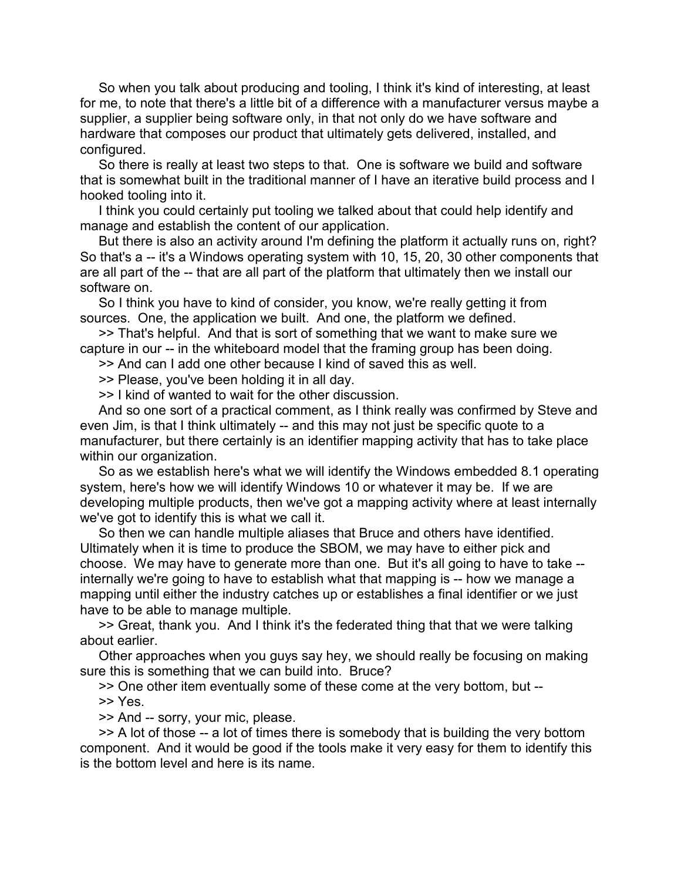So when you talk about producing and tooling, I think it's kind of interesting, at least for me, to note that there's a little bit of a difference with a manufacturer versus maybe a supplier, a supplier being software only, in that not only do we have software and hardware that composes our product that ultimately gets delivered, installed, and configured.

 So there is really at least two steps to that. One is software we build and software that is somewhat built in the traditional manner of I have an iterative build process and I hooked tooling into it.

 I think you could certainly put tooling we talked about that could help identify and manage and establish the content of our application.

 But there is also an activity around I'm defining the platform it actually runs on, right? So that's a -- it's a Windows operating system with 10, 15, 20, 30 other components that are all part of the -- that are all part of the platform that ultimately then we install our software on.

 So I think you have to kind of consider, you know, we're really getting it from sources. One, the application we built. And one, the platform we defined.

 >> That's helpful. And that is sort of something that we want to make sure we capture in our -- in the whiteboard model that the framing group has been doing.

>> And can I add one other because I kind of saved this as well.

>> Please, you've been holding it in all day.

>> I kind of wanted to wait for the other discussion.

 And so one sort of a practical comment, as I think really was confirmed by Steve and even Jim, is that I think ultimately -- and this may not just be specific quote to a manufacturer, but there certainly is an identifier mapping activity that has to take place within our organization.

 So as we establish here's what we will identify the Windows embedded 8.1 operating system, here's how we will identify Windows 10 or whatever it may be. If we are developing multiple products, then we've got a mapping activity where at least internally we've got to identify this is what we call it.

 So then we can handle multiple aliases that Bruce and others have identified. Ultimately when it is time to produce the SBOM, we may have to either pick and choose. We may have to generate more than one. But it's all going to have to take - internally we're going to have to establish what that mapping is -- how we manage a mapping until either the industry catches up or establishes a final identifier or we just have to be able to manage multiple.

 >> Great, thank you. And I think it's the federated thing that that we were talking about earlier.

 Other approaches when you guys say hey, we should really be focusing on making sure this is something that we can build into. Bruce?

>> One other item eventually some of these come at the very bottom, but --

>> Yes.

>> And -- sorry, your mic, please.

 >> A lot of those -- a lot of times there is somebody that is building the very bottom component. And it would be good if the tools make it very easy for them to identify this is the bottom level and here is its name.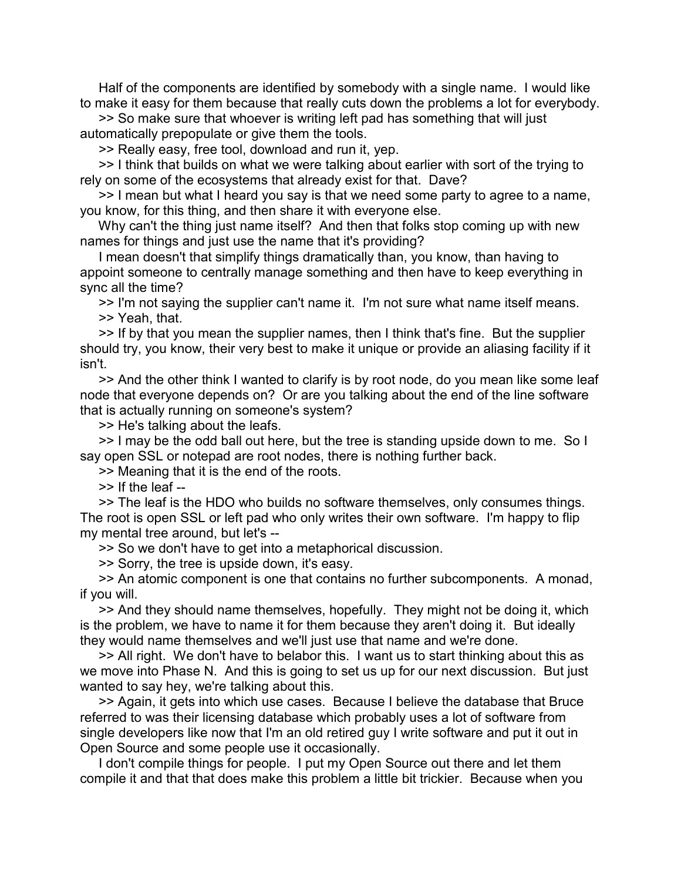Half of the components are identified by somebody with a single name. I would like to make it easy for them because that really cuts down the problems a lot for everybody.

 >> So make sure that whoever is writing left pad has something that will just automatically prepopulate or give them the tools.

>> Really easy, free tool, download and run it, yep.

 >> I think that builds on what we were talking about earlier with sort of the trying to rely on some of the ecosystems that already exist for that. Dave?

>> I mean but what I heard you say is that we need some party to agree to a name, you know, for this thing, and then share it with everyone else.

 Why can't the thing just name itself? And then that folks stop coming up with new names for things and just use the name that it's providing?

 I mean doesn't that simplify things dramatically than, you know, than having to appoint someone to centrally manage something and then have to keep everything in sync all the time?

 >> I'm not saying the supplier can't name it. I'm not sure what name itself means. >> Yeah, that.

 >> If by that you mean the supplier names, then I think that's fine. But the supplier should try, you know, their very best to make it unique or provide an aliasing facility if it isn't.

 >> And the other think I wanted to clarify is by root node, do you mean like some leaf node that everyone depends on? Or are you talking about the end of the line software that is actually running on someone's system?

>> He's talking about the leafs.

 >> I may be the odd ball out here, but the tree is standing upside down to me. So I say open SSL or notepad are root nodes, there is nothing further back.

>> Meaning that it is the end of the roots.

>> If the leaf --

 >> The leaf is the HDO who builds no software themselves, only consumes things. The root is open SSL or left pad who only writes their own software. I'm happy to flip my mental tree around, but let's --

>> So we don't have to get into a metaphorical discussion.

>> Sorry, the tree is upside down, it's easy.

 >> An atomic component is one that contains no further subcomponents. A monad, if you will.

 >> And they should name themselves, hopefully. They might not be doing it, which is the problem, we have to name it for them because they aren't doing it. But ideally they would name themselves and we'll just use that name and we're done.

 >> All right. We don't have to belabor this. I want us to start thinking about this as we move into Phase N. And this is going to set us up for our next discussion. But just wanted to say hey, we're talking about this.

 >> Again, it gets into which use cases. Because I believe the database that Bruce referred to was their licensing database which probably uses a lot of software from single developers like now that I'm an old retired guy I write software and put it out in Open Source and some people use it occasionally.

 I don't compile things for people. I put my Open Source out there and let them compile it and that that does make this problem a little bit trickier. Because when you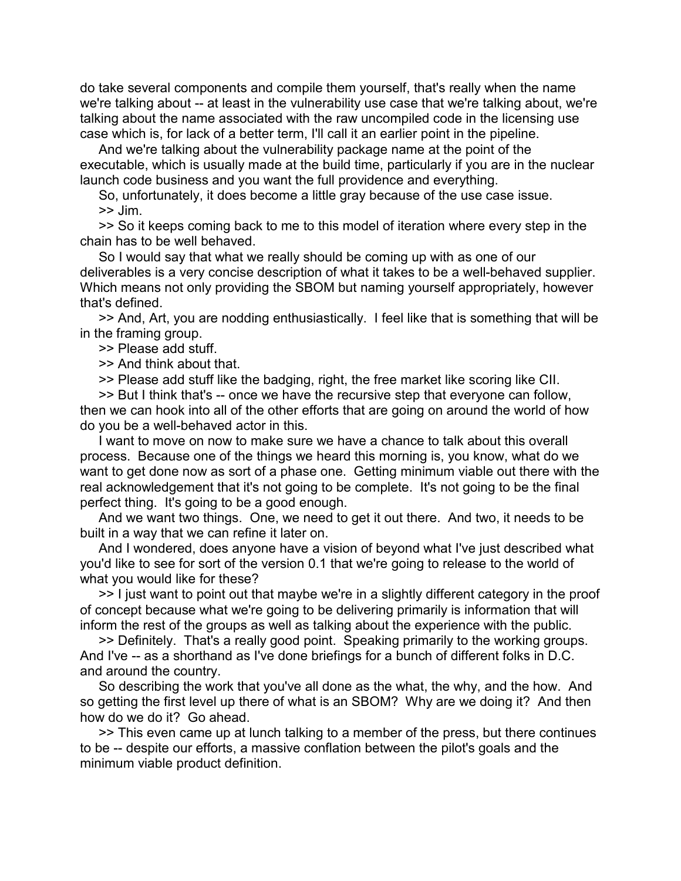do take several components and compile them yourself, that's really when the name we're talking about -- at least in the vulnerability use case that we're talking about, we're talking about the name associated with the raw uncompiled code in the licensing use case which is, for lack of a better term, I'll call it an earlier point in the pipeline.

 And we're talking about the vulnerability package name at the point of the executable, which is usually made at the build time, particularly if you are in the nuclear launch code business and you want the full providence and everything.

 So, unfortunately, it does become a little gray because of the use case issue.  $>>$  Jim.

 >> So it keeps coming back to me to this model of iteration where every step in the chain has to be well behaved.

 So I would say that what we really should be coming up with as one of our deliverables is a very concise description of what it takes to be a well-behaved supplier. Which means not only providing the SBOM but naming yourself appropriately, however that's defined.

 >> And, Art, you are nodding enthusiastically. I feel like that is something that will be in the framing group.

## >> Please add stuff.

>> And think about that.

>> Please add stuff like the badging, right, the free market like scoring like CII.

 >> But I think that's -- once we have the recursive step that everyone can follow, then we can hook into all of the other efforts that are going on around the world of how do you be a well-behaved actor in this.

 I want to move on now to make sure we have a chance to talk about this overall process. Because one of the things we heard this morning is, you know, what do we want to get done now as sort of a phase one. Getting minimum viable out there with the real acknowledgement that it's not going to be complete. It's not going to be the final perfect thing. It's going to be a good enough.

 And we want two things. One, we need to get it out there. And two, it needs to be built in a way that we can refine it later on.

 And I wondered, does anyone have a vision of beyond what I've just described what you'd like to see for sort of the version 0.1 that we're going to release to the world of what you would like for these?

 >> I just want to point out that maybe we're in a slightly different category in the proof of concept because what we're going to be delivering primarily is information that will inform the rest of the groups as well as talking about the experience with the public.

 >> Definitely. That's a really good point. Speaking primarily to the working groups. And I've -- as a shorthand as I've done briefings for a bunch of different folks in D.C. and around the country.

 So describing the work that you've all done as the what, the why, and the how. And so getting the first level up there of what is an SBOM? Why are we doing it? And then how do we do it? Go ahead.

 >> This even came up at lunch talking to a member of the press, but there continues to be -- despite our efforts, a massive conflation between the pilot's goals and the minimum viable product definition.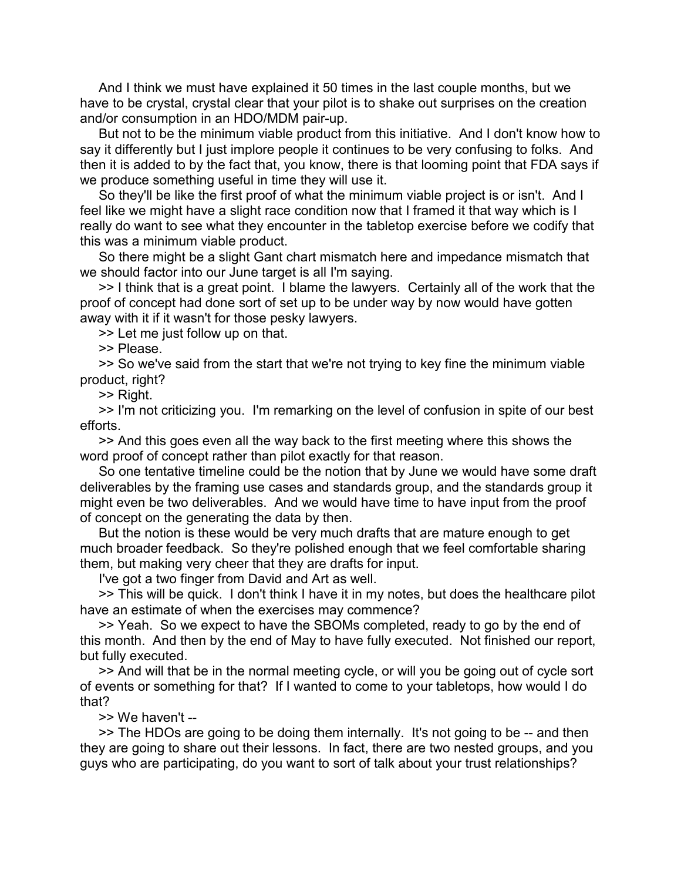And I think we must have explained it 50 times in the last couple months, but we have to be crystal, crystal clear that your pilot is to shake out surprises on the creation and/or consumption in an HDO/MDM pair-up.

 But not to be the minimum viable product from this initiative. And I don't know how to say it differently but I just implore people it continues to be very confusing to folks. And then it is added to by the fact that, you know, there is that looming point that FDA says if we produce something useful in time they will use it.

 So they'll be like the first proof of what the minimum viable project is or isn't. And I feel like we might have a slight race condition now that I framed it that way which is I really do want to see what they encounter in the tabletop exercise before we codify that this was a minimum viable product.

 So there might be a slight Gant chart mismatch here and impedance mismatch that we should factor into our June target is all I'm saying.

 >> I think that is a great point. I blame the lawyers. Certainly all of the work that the proof of concept had done sort of set up to be under way by now would have gotten away with it if it wasn't for those pesky lawyers.

>> Let me just follow up on that.

>> Please.

 >> So we've said from the start that we're not trying to key fine the minimum viable product, right?

>> Right.

 >> I'm not criticizing you. I'm remarking on the level of confusion in spite of our best efforts.

 >> And this goes even all the way back to the first meeting where this shows the word proof of concept rather than pilot exactly for that reason.

 So one tentative timeline could be the notion that by June we would have some draft deliverables by the framing use cases and standards group, and the standards group it might even be two deliverables. And we would have time to have input from the proof of concept on the generating the data by then.

 But the notion is these would be very much drafts that are mature enough to get much broader feedback. So they're polished enough that we feel comfortable sharing them, but making very cheer that they are drafts for input.

I've got a two finger from David and Art as well.

 >> This will be quick. I don't think I have it in my notes, but does the healthcare pilot have an estimate of when the exercises may commence?

 >> Yeah. So we expect to have the SBOMs completed, ready to go by the end of this month. And then by the end of May to have fully executed. Not finished our report, but fully executed.

 >> And will that be in the normal meeting cycle, or will you be going out of cycle sort of events or something for that? If I wanted to come to your tabletops, how would I do that?

>> We haven't --

 >> The HDOs are going to be doing them internally. It's not going to be -- and then they are going to share out their lessons. In fact, there are two nested groups, and you guys who are participating, do you want to sort of talk about your trust relationships?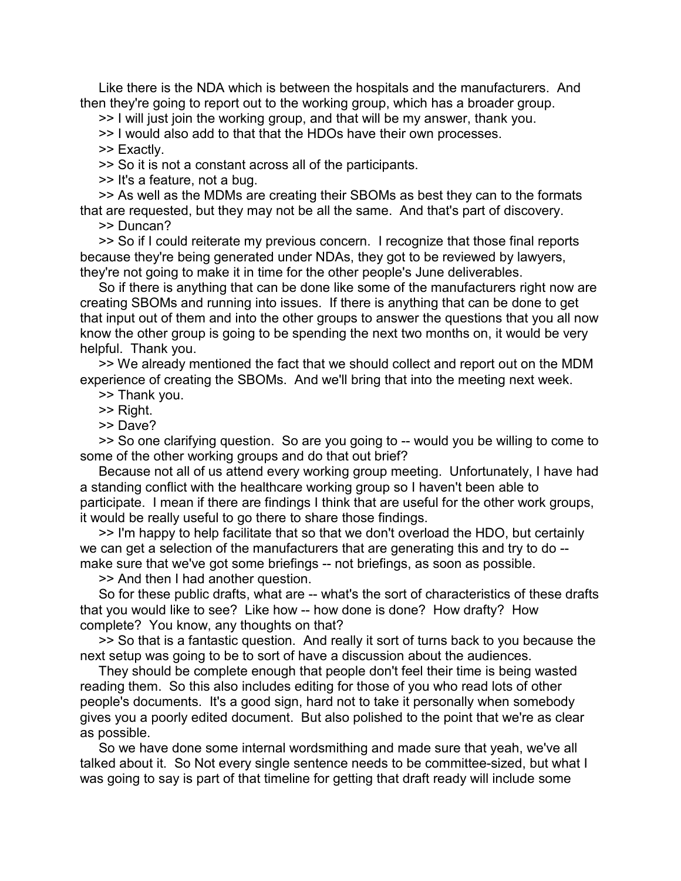Like there is the NDA which is between the hospitals and the manufacturers. And then they're going to report out to the working group, which has a broader group.

>> I will just join the working group, and that will be my answer, thank you.

>> I would also add to that that the HDOs have their own processes.

>> Exactly.

>> So it is not a constant across all of the participants.

>> It's a feature, not a bug.

 >> As well as the MDMs are creating their SBOMs as best they can to the formats that are requested, but they may not be all the same. And that's part of discovery.

>> Duncan?

 >> So if I could reiterate my previous concern. I recognize that those final reports because they're being generated under NDAs, they got to be reviewed by lawyers, they're not going to make it in time for the other people's June deliverables.

 So if there is anything that can be done like some of the manufacturers right now are creating SBOMs and running into issues. If there is anything that can be done to get that input out of them and into the other groups to answer the questions that you all now know the other group is going to be spending the next two months on, it would be very helpful. Thank you.

 >> We already mentioned the fact that we should collect and report out on the MDM experience of creating the SBOMs. And we'll bring that into the meeting next week.

>> Thank you.

>> Right.

>> Dave?

 >> So one clarifying question. So are you going to -- would you be willing to come to some of the other working groups and do that out brief?

 Because not all of us attend every working group meeting. Unfortunately, I have had a standing conflict with the healthcare working group so I haven't been able to participate. I mean if there are findings I think that are useful for the other work groups, it would be really useful to go there to share those findings.

 >> I'm happy to help facilitate that so that we don't overload the HDO, but certainly we can get a selection of the manufacturers that are generating this and try to do - make sure that we've got some briefings -- not briefings, as soon as possible.

>> And then I had another question.

 So for these public drafts, what are -- what's the sort of characteristics of these drafts that you would like to see? Like how -- how done is done? How drafty? How complete? You know, any thoughts on that?

 >> So that is a fantastic question. And really it sort of turns back to you because the next setup was going to be to sort of have a discussion about the audiences.

 They should be complete enough that people don't feel their time is being wasted reading them. So this also includes editing for those of you who read lots of other people's documents. It's a good sign, hard not to take it personally when somebody gives you a poorly edited document. But also polished to the point that we're as clear as possible.

 So we have done some internal wordsmithing and made sure that yeah, we've all talked about it. So Not every single sentence needs to be committee-sized, but what I was going to say is part of that timeline for getting that draft ready will include some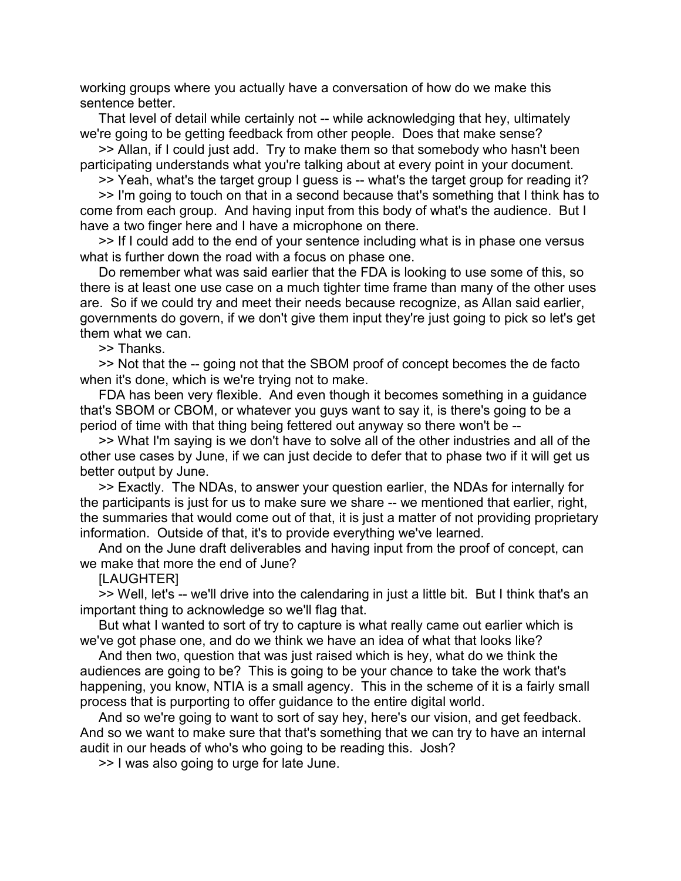working groups where you actually have a conversation of how do we make this sentence better.

 That level of detail while certainly not -- while acknowledging that hey, ultimately we're going to be getting feedback from other people. Does that make sense?

 >> Allan, if I could just add. Try to make them so that somebody who hasn't been participating understands what you're talking about at every point in your document.

>> Yeah, what's the target group I guess is -- what's the target group for reading it?

 >> I'm going to touch on that in a second because that's something that I think has to come from each group. And having input from this body of what's the audience. But I have a two finger here and I have a microphone on there.

 >> If I could add to the end of your sentence including what is in phase one versus what is further down the road with a focus on phase one.

 Do remember what was said earlier that the FDA is looking to use some of this, so there is at least one use case on a much tighter time frame than many of the other uses are. So if we could try and meet their needs because recognize, as Allan said earlier, governments do govern, if we don't give them input they're just going to pick so let's get them what we can.

>> Thanks.

 >> Not that the -- going not that the SBOM proof of concept becomes the de facto when it's done, which is we're trying not to make.

 FDA has been very flexible. And even though it becomes something in a guidance that's SBOM or CBOM, or whatever you guys want to say it, is there's going to be a period of time with that thing being fettered out anyway so there won't be --

 >> What I'm saying is we don't have to solve all of the other industries and all of the other use cases by June, if we can just decide to defer that to phase two if it will get us better output by June.

 >> Exactly. The NDAs, to answer your question earlier, the NDAs for internally for the participants is just for us to make sure we share -- we mentioned that earlier, right, the summaries that would come out of that, it is just a matter of not providing proprietary information. Outside of that, it's to provide everything we've learned.

 And on the June draft deliverables and having input from the proof of concept, can we make that more the end of June?

[LAUGHTER]

 >> Well, let's -- we'll drive into the calendaring in just a little bit. But I think that's an important thing to acknowledge so we'll flag that.

 But what I wanted to sort of try to capture is what really came out earlier which is we've got phase one, and do we think we have an idea of what that looks like?

 And then two, question that was just raised which is hey, what do we think the audiences are going to be? This is going to be your chance to take the work that's happening, you know, NTIA is a small agency. This in the scheme of it is a fairly small process that is purporting to offer guidance to the entire digital world.

 And so we're going to want to sort of say hey, here's our vision, and get feedback. And so we want to make sure that that's something that we can try to have an internal audit in our heads of who's who going to be reading this. Josh?

>> I was also going to urge for late June.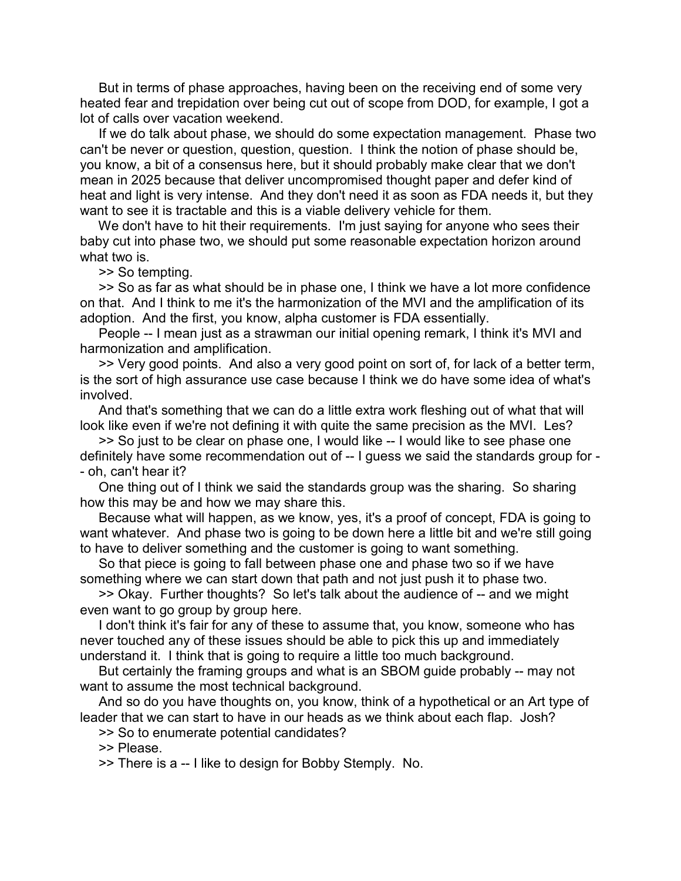But in terms of phase approaches, having been on the receiving end of some very heated fear and trepidation over being cut out of scope from DOD, for example, I got a lot of calls over vacation weekend.

 If we do talk about phase, we should do some expectation management. Phase two can't be never or question, question, question. I think the notion of phase should be, you know, a bit of a consensus here, but it should probably make clear that we don't mean in 2025 because that deliver uncompromised thought paper and defer kind of heat and light is very intense. And they don't need it as soon as FDA needs it, but they want to see it is tractable and this is a viable delivery vehicle for them.

We don't have to hit their requirements. I'm just saying for anyone who sees their baby cut into phase two, we should put some reasonable expectation horizon around what two is.

>> So tempting.

 >> So as far as what should be in phase one, I think we have a lot more confidence on that. And I think to me it's the harmonization of the MVI and the amplification of its adoption. And the first, you know, alpha customer is FDA essentially.

 People -- I mean just as a strawman our initial opening remark, I think it's MVI and harmonization and amplification.

 >> Very good points. And also a very good point on sort of, for lack of a better term, is the sort of high assurance use case because I think we do have some idea of what's involved.

 And that's something that we can do a little extra work fleshing out of what that will look like even if we're not defining it with quite the same precision as the MVI. Les?

 >> So just to be clear on phase one, I would like -- I would like to see phase one definitely have some recommendation out of -- I guess we said the standards group for - - oh, can't hear it?

 One thing out of I think we said the standards group was the sharing. So sharing how this may be and how we may share this.

 Because what will happen, as we know, yes, it's a proof of concept, FDA is going to want whatever. And phase two is going to be down here a little bit and we're still going to have to deliver something and the customer is going to want something.

 So that piece is going to fall between phase one and phase two so if we have something where we can start down that path and not just push it to phase two.

 >> Okay. Further thoughts? So let's talk about the audience of -- and we might even want to go group by group here.

 I don't think it's fair for any of these to assume that, you know, someone who has never touched any of these issues should be able to pick this up and immediately understand it. I think that is going to require a little too much background.

 But certainly the framing groups and what is an SBOM guide probably -- may not want to assume the most technical background.

 And so do you have thoughts on, you know, think of a hypothetical or an Art type of leader that we can start to have in our heads as we think about each flap. Josh?

>> So to enumerate potential candidates?

>> Please.

>> There is a -- I like to design for Bobby Stemply. No.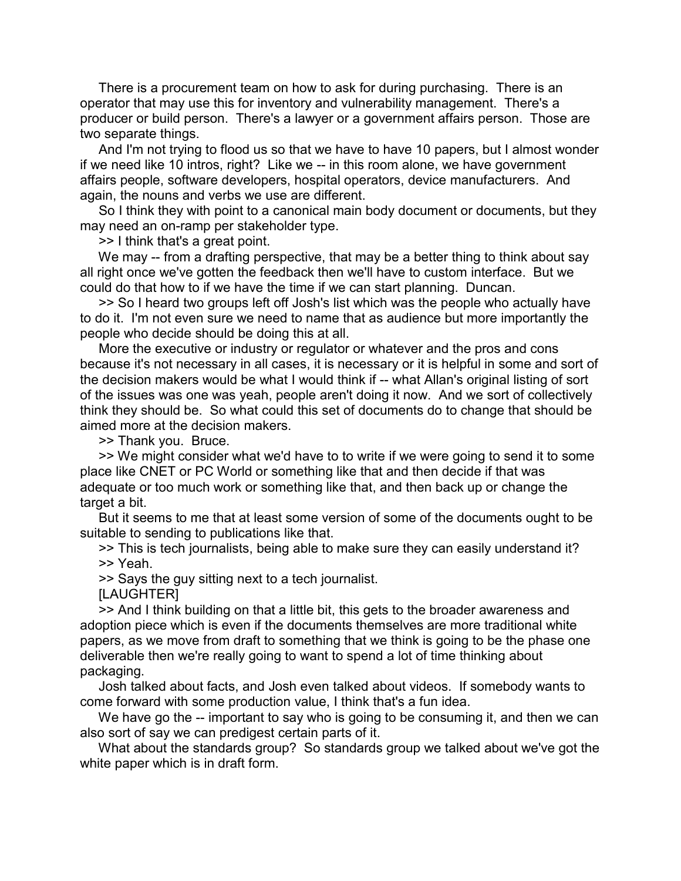There is a procurement team on how to ask for during purchasing. There is an operator that may use this for inventory and vulnerability management. There's a producer or build person. There's a lawyer or a government affairs person. Those are two separate things.

 And I'm not trying to flood us so that we have to have 10 papers, but I almost wonder if we need like 10 intros, right? Like we -- in this room alone, we have government affairs people, software developers, hospital operators, device manufacturers. And again, the nouns and verbs we use are different.

 So I think they with point to a canonical main body document or documents, but they may need an on-ramp per stakeholder type.

>> I think that's a great point.

We may -- from a drafting perspective, that may be a better thing to think about say all right once we've gotten the feedback then we'll have to custom interface. But we could do that how to if we have the time if we can start planning. Duncan.

 >> So I heard two groups left off Josh's list which was the people who actually have to do it. I'm not even sure we need to name that as audience but more importantly the people who decide should be doing this at all.

 More the executive or industry or regulator or whatever and the pros and cons because it's not necessary in all cases, it is necessary or it is helpful in some and sort of the decision makers would be what I would think if -- what Allan's original listing of sort of the issues was one was yeah, people aren't doing it now. And we sort of collectively think they should be. So what could this set of documents do to change that should be aimed more at the decision makers.

>> Thank you. Bruce.

 >> We might consider what we'd have to to write if we were going to send it to some place like CNET or PC World or something like that and then decide if that was adequate or too much work or something like that, and then back up or change the target a bit.

 But it seems to me that at least some version of some of the documents ought to be suitable to sending to publications like that.

 >> This is tech journalists, being able to make sure they can easily understand it? >> Yeah.

>> Says the guy sitting next to a tech journalist.

**ILAUGHTERI** 

 >> And I think building on that a little bit, this gets to the broader awareness and adoption piece which is even if the documents themselves are more traditional white papers, as we move from draft to something that we think is going to be the phase one deliverable then we're really going to want to spend a lot of time thinking about packaging.

 Josh talked about facts, and Josh even talked about videos. If somebody wants to come forward with some production value, I think that's a fun idea.

We have go the -- important to say who is going to be consuming it, and then we can also sort of say we can predigest certain parts of it.

 What about the standards group? So standards group we talked about we've got the white paper which is in draft form.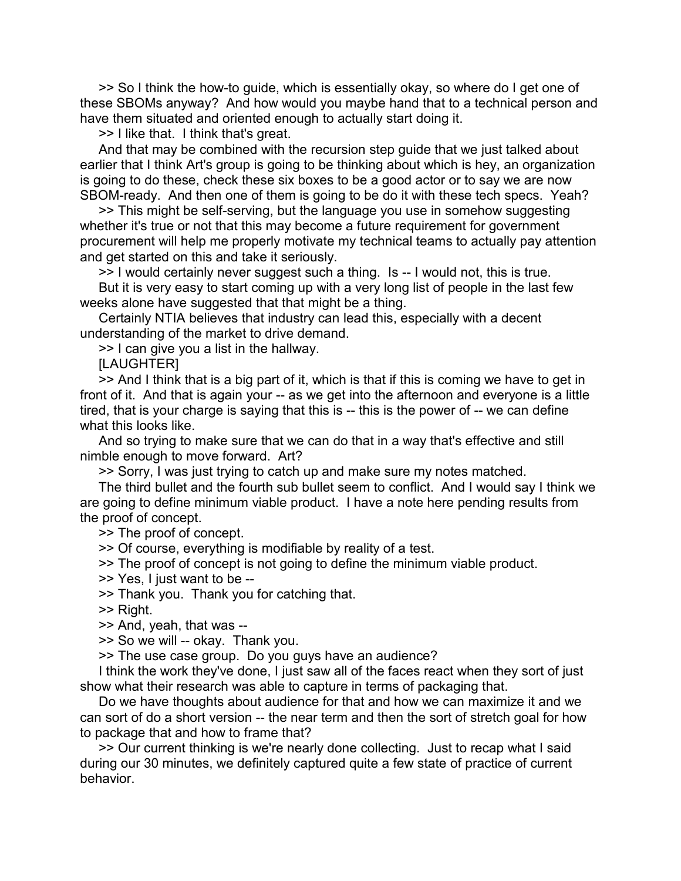>> So I think the how-to guide, which is essentially okay, so where do I get one of these SBOMs anyway? And how would you maybe hand that to a technical person and have them situated and oriented enough to actually start doing it.

>> I like that. I think that's great.

 And that may be combined with the recursion step guide that we just talked about earlier that I think Art's group is going to be thinking about which is hey, an organization is going to do these, check these six boxes to be a good actor or to say we are now SBOM-ready. And then one of them is going to be do it with these tech specs. Yeah?

 >> This might be self-serving, but the language you use in somehow suggesting whether it's true or not that this may become a future requirement for government procurement will help me properly motivate my technical teams to actually pay attention and get started on this and take it seriously.

>> I would certainly never suggest such a thing. Is -- I would not, this is true. But it is very easy to start coming up with a very long list of people in the last few weeks alone have suggested that that might be a thing.

 Certainly NTIA believes that industry can lead this, especially with a decent understanding of the market to drive demand.

>> I can give you a list in the hallway.

**ILAUGHTERI** 

 >> And I think that is a big part of it, which is that if this is coming we have to get in front of it. And that is again your -- as we get into the afternoon and everyone is a little tired, that is your charge is saying that this is -- this is the power of -- we can define what this looks like.

 And so trying to make sure that we can do that in a way that's effective and still nimble enough to move forward. Art?

>> Sorry, I was just trying to catch up and make sure my notes matched.

 The third bullet and the fourth sub bullet seem to conflict. And I would say I think we are going to define minimum viable product. I have a note here pending results from the proof of concept.

>> The proof of concept.

>> Of course, everything is modifiable by reality of a test.

>> The proof of concept is not going to define the minimum viable product.

>> Yes, I just want to be --

>> Thank you. Thank you for catching that.

>> Right.

>> And, yeah, that was --

>> So we will -- okay. Thank you.

>> The use case group. Do you guys have an audience?

 I think the work they've done, I just saw all of the faces react when they sort of just show what their research was able to capture in terms of packaging that.

 Do we have thoughts about audience for that and how we can maximize it and we can sort of do a short version -- the near term and then the sort of stretch goal for how to package that and how to frame that?

 >> Our current thinking is we're nearly done collecting. Just to recap what I said during our 30 minutes, we definitely captured quite a few state of practice of current behavior.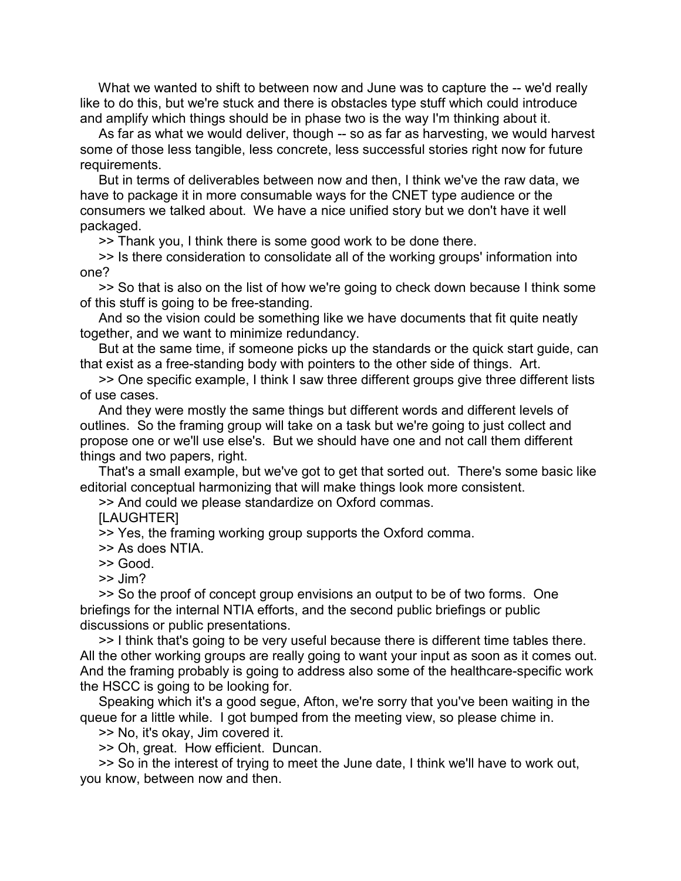What we wanted to shift to between now and June was to capture the -- we'd really like to do this, but we're stuck and there is obstacles type stuff which could introduce and amplify which things should be in phase two is the way I'm thinking about it.

 As far as what we would deliver, though -- so as far as harvesting, we would harvest some of those less tangible, less concrete, less successful stories right now for future requirements.

 But in terms of deliverables between now and then, I think we've the raw data, we have to package it in more consumable ways for the CNET type audience or the consumers we talked about. We have a nice unified story but we don't have it well packaged.

>> Thank you, I think there is some good work to be done there.

 >> Is there consideration to consolidate all of the working groups' information into one?

 >> So that is also on the list of how we're going to check down because I think some of this stuff is going to be free-standing.

 And so the vision could be something like we have documents that fit quite neatly together, and we want to minimize redundancy.

 But at the same time, if someone picks up the standards or the quick start guide, can that exist as a free-standing body with pointers to the other side of things. Art.

 >> One specific example, I think I saw three different groups give three different lists of use cases.

 And they were mostly the same things but different words and different levels of outlines. So the framing group will take on a task but we're going to just collect and propose one or we'll use else's. But we should have one and not call them different things and two papers, right.

 That's a small example, but we've got to get that sorted out. There's some basic like editorial conceptual harmonizing that will make things look more consistent.

>> And could we please standardize on Oxford commas.

[LAUGHTER]

>> Yes, the framing working group supports the Oxford comma.

>> As does NTIA.

>> Good.

>> Jim?

 >> So the proof of concept group envisions an output to be of two forms. One briefings for the internal NTIA efforts, and the second public briefings or public discussions or public presentations.

 >> I think that's going to be very useful because there is different time tables there. All the other working groups are really going to want your input as soon as it comes out. And the framing probably is going to address also some of the healthcare-specific work the HSCC is going to be looking for.

 Speaking which it's a good segue, Afton, we're sorry that you've been waiting in the queue for a little while. I got bumped from the meeting view, so please chime in.

>> No, it's okay, Jim covered it.

>> Oh, great. How efficient. Duncan.

 >> So in the interest of trying to meet the June date, I think we'll have to work out, you know, between now and then.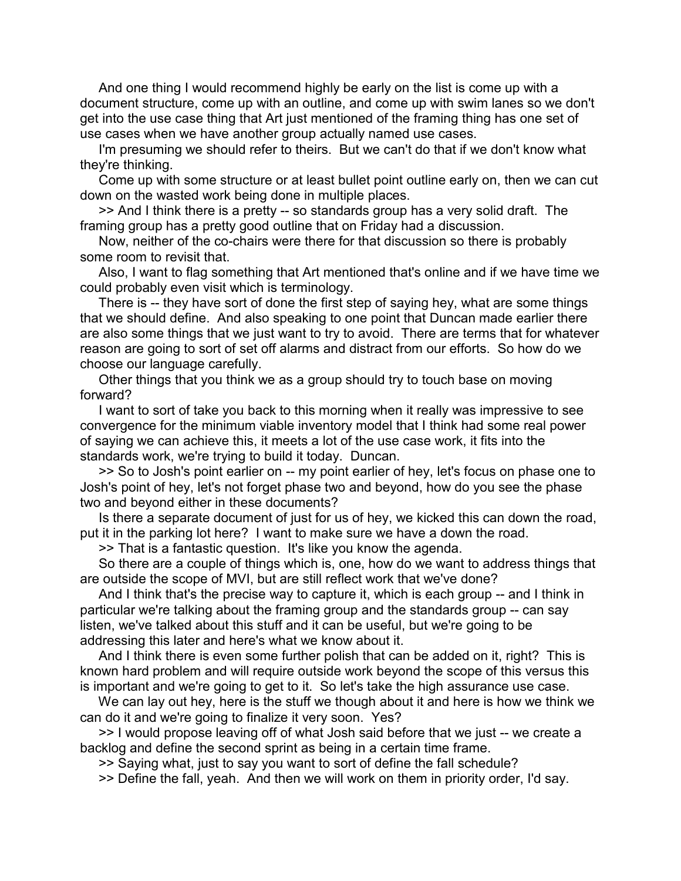And one thing I would recommend highly be early on the list is come up with a document structure, come up with an outline, and come up with swim lanes so we don't get into the use case thing that Art just mentioned of the framing thing has one set of use cases when we have another group actually named use cases.

 I'm presuming we should refer to theirs. But we can't do that if we don't know what they're thinking.

 Come up with some structure or at least bullet point outline early on, then we can cut down on the wasted work being done in multiple places.

 >> And I think there is a pretty -- so standards group has a very solid draft. The framing group has a pretty good outline that on Friday had a discussion.

 Now, neither of the co-chairs were there for that discussion so there is probably some room to revisit that.

 Also, I want to flag something that Art mentioned that's online and if we have time we could probably even visit which is terminology.

 There is -- they have sort of done the first step of saying hey, what are some things that we should define. And also speaking to one point that Duncan made earlier there are also some things that we just want to try to avoid. There are terms that for whatever reason are going to sort of set off alarms and distract from our efforts. So how do we choose our language carefully.

 Other things that you think we as a group should try to touch base on moving forward?

 I want to sort of take you back to this morning when it really was impressive to see convergence for the minimum viable inventory model that I think had some real power of saying we can achieve this, it meets a lot of the use case work, it fits into the standards work, we're trying to build it today. Duncan.

 >> So to Josh's point earlier on -- my point earlier of hey, let's focus on phase one to Josh's point of hey, let's not forget phase two and beyond, how do you see the phase two and beyond either in these documents?

 Is there a separate document of just for us of hey, we kicked this can down the road, put it in the parking lot here? I want to make sure we have a down the road.

>> That is a fantastic question. It's like you know the agenda.

 So there are a couple of things which is, one, how do we want to address things that are outside the scope of MVI, but are still reflect work that we've done?

 And I think that's the precise way to capture it, which is each group -- and I think in particular we're talking about the framing group and the standards group -- can say listen, we've talked about this stuff and it can be useful, but we're going to be addressing this later and here's what we know about it.

 And I think there is even some further polish that can be added on it, right? This is known hard problem and will require outside work beyond the scope of this versus this is important and we're going to get to it. So let's take the high assurance use case.

We can lay out hey, here is the stuff we though about it and here is how we think we can do it and we're going to finalize it very soon. Yes?

 >> I would propose leaving off of what Josh said before that we just -- we create a backlog and define the second sprint as being in a certain time frame.

>> Saying what, just to say you want to sort of define the fall schedule?

>> Define the fall, yeah. And then we will work on them in priority order, I'd say.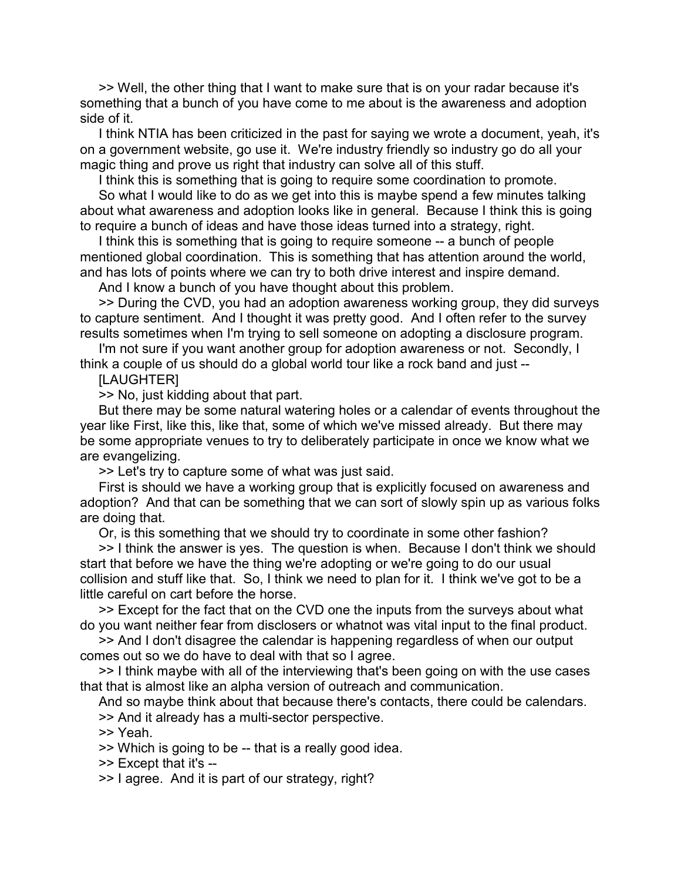>> Well, the other thing that I want to make sure that is on your radar because it's something that a bunch of you have come to me about is the awareness and adoption side of it.

 I think NTIA has been criticized in the past for saying we wrote a document, yeah, it's on a government website, go use it. We're industry friendly so industry go do all your magic thing and prove us right that industry can solve all of this stuff.

I think this is something that is going to require some coordination to promote.

 So what I would like to do as we get into this is maybe spend a few minutes talking about what awareness and adoption looks like in general. Because I think this is going to require a bunch of ideas and have those ideas turned into a strategy, right.

 I think this is something that is going to require someone -- a bunch of people mentioned global coordination. This is something that has attention around the world, and has lots of points where we can try to both drive interest and inspire demand.

And I know a bunch of you have thought about this problem.

 >> During the CVD, you had an adoption awareness working group, they did surveys to capture sentiment. And I thought it was pretty good. And I often refer to the survey results sometimes when I'm trying to sell someone on adopting a disclosure program.

 I'm not sure if you want another group for adoption awareness or not. Secondly, I think a couple of us should do a global world tour like a rock band and just --

[LAUGHTER]

>> No, just kidding about that part.

 But there may be some natural watering holes or a calendar of events throughout the year like First, like this, like that, some of which we've missed already. But there may be some appropriate venues to try to deliberately participate in once we know what we are evangelizing.

>> Let's try to capture some of what was just said.

 First is should we have a working group that is explicitly focused on awareness and adoption? And that can be something that we can sort of slowly spin up as various folks are doing that.

Or, is this something that we should try to coordinate in some other fashion?

 >> I think the answer is yes. The question is when. Because I don't think we should start that before we have the thing we're adopting or we're going to do our usual collision and stuff like that. So, I think we need to plan for it. I think we've got to be a little careful on cart before the horse.

 >> Except for the fact that on the CVD one the inputs from the surveys about what do you want neither fear from disclosers or whatnot was vital input to the final product.

 >> And I don't disagree the calendar is happening regardless of when our output comes out so we do have to deal with that so I agree.

 >> I think maybe with all of the interviewing that's been going on with the use cases that that is almost like an alpha version of outreach and communication.

And so maybe think about that because there's contacts, there could be calendars.

>> And it already has a multi-sector perspective.

>> Yeah.

>> Which is going to be -- that is a really good idea.

>> Except that it's --

>> I agree. And it is part of our strategy, right?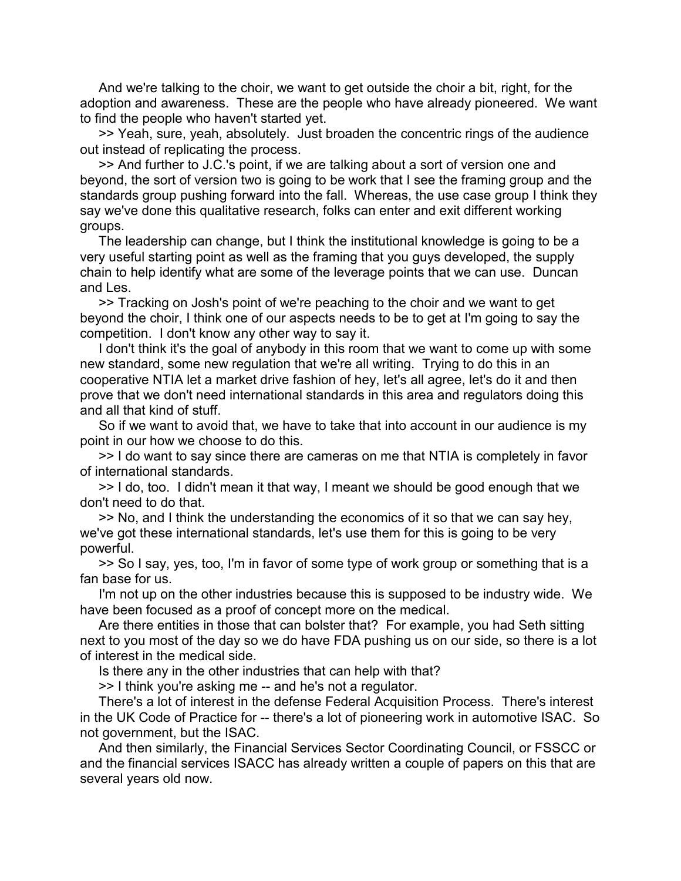And we're talking to the choir, we want to get outside the choir a bit, right, for the adoption and awareness. These are the people who have already pioneered. We want to find the people who haven't started yet.

 >> Yeah, sure, yeah, absolutely. Just broaden the concentric rings of the audience out instead of replicating the process.

 >> And further to J.C.'s point, if we are talking about a sort of version one and beyond, the sort of version two is going to be work that I see the framing group and the standards group pushing forward into the fall. Whereas, the use case group I think they say we've done this qualitative research, folks can enter and exit different working groups.

 The leadership can change, but I think the institutional knowledge is going to be a very useful starting point as well as the framing that you guys developed, the supply chain to help identify what are some of the leverage points that we can use. Duncan and Les.

 >> Tracking on Josh's point of we're peaching to the choir and we want to get beyond the choir, I think one of our aspects needs to be to get at I'm going to say the competition. I don't know any other way to say it.

 I don't think it's the goal of anybody in this room that we want to come up with some new standard, some new regulation that we're all writing. Trying to do this in an cooperative NTIA let a market drive fashion of hey, let's all agree, let's do it and then prove that we don't need international standards in this area and regulators doing this and all that kind of stuff.

 So if we want to avoid that, we have to take that into account in our audience is my point in our how we choose to do this.

 >> I do want to say since there are cameras on me that NTIA is completely in favor of international standards.

 >> I do, too. I didn't mean it that way, I meant we should be good enough that we don't need to do that.

 >> No, and I think the understanding the economics of it so that we can say hey, we've got these international standards, let's use them for this is going to be very powerful.

 >> So I say, yes, too, I'm in favor of some type of work group or something that is a fan base for us.

 I'm not up on the other industries because this is supposed to be industry wide. We have been focused as a proof of concept more on the medical.

 Are there entities in those that can bolster that? For example, you had Seth sitting next to you most of the day so we do have FDA pushing us on our side, so there is a lot of interest in the medical side.

Is there any in the other industries that can help with that?

>> I think you're asking me -- and he's not a regulator.

 There's a lot of interest in the defense Federal Acquisition Process. There's interest in the UK Code of Practice for -- there's a lot of pioneering work in automotive ISAC. So not government, but the ISAC.

 And then similarly, the Financial Services Sector Coordinating Council, or FSSCC or and the financial services ISACC has already written a couple of papers on this that are several years old now.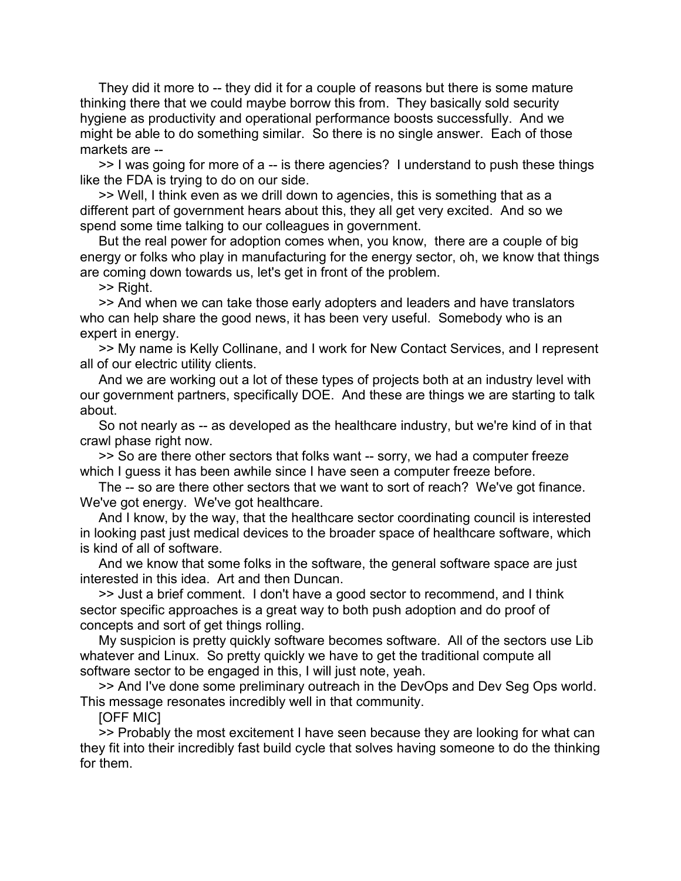They did it more to -- they did it for a couple of reasons but there is some mature thinking there that we could maybe borrow this from. They basically sold security hygiene as productivity and operational performance boosts successfully. And we might be able to do something similar. So there is no single answer. Each of those markets are --

 >> I was going for more of a -- is there agencies? I understand to push these things like the FDA is trying to do on our side.

 >> Well, I think even as we drill down to agencies, this is something that as a different part of government hears about this, they all get very excited. And so we spend some time talking to our colleagues in government.

 But the real power for adoption comes when, you know, there are a couple of big energy or folks who play in manufacturing for the energy sector, oh, we know that things are coming down towards us, let's get in front of the problem.

>> Right.

 >> And when we can take those early adopters and leaders and have translators who can help share the good news, it has been very useful. Somebody who is an expert in energy.

 >> My name is Kelly Collinane, and I work for New Contact Services, and I represent all of our electric utility clients.

 And we are working out a lot of these types of projects both at an industry level with our government partners, specifically DOE. And these are things we are starting to talk about.

 So not nearly as -- as developed as the healthcare industry, but we're kind of in that crawl phase right now.

 >> So are there other sectors that folks want -- sorry, we had a computer freeze which I guess it has been awhile since I have seen a computer freeze before.

 The -- so are there other sectors that we want to sort of reach? We've got finance. We've got energy. We've got healthcare.

 And I know, by the way, that the healthcare sector coordinating council is interested in looking past just medical devices to the broader space of healthcare software, which is kind of all of software.

 And we know that some folks in the software, the general software space are just interested in this idea. Art and then Duncan.

 >> Just a brief comment. I don't have a good sector to recommend, and I think sector specific approaches is a great way to both push adoption and do proof of concepts and sort of get things rolling.

 My suspicion is pretty quickly software becomes software. All of the sectors use Lib whatever and Linux. So pretty quickly we have to get the traditional compute all software sector to be engaged in this, I will just note, yeah.

 >> And I've done some preliminary outreach in the DevOps and Dev Seg Ops world. This message resonates incredibly well in that community.

[OFF MIC]

 >> Probably the most excitement I have seen because they are looking for what can they fit into their incredibly fast build cycle that solves having someone to do the thinking for them.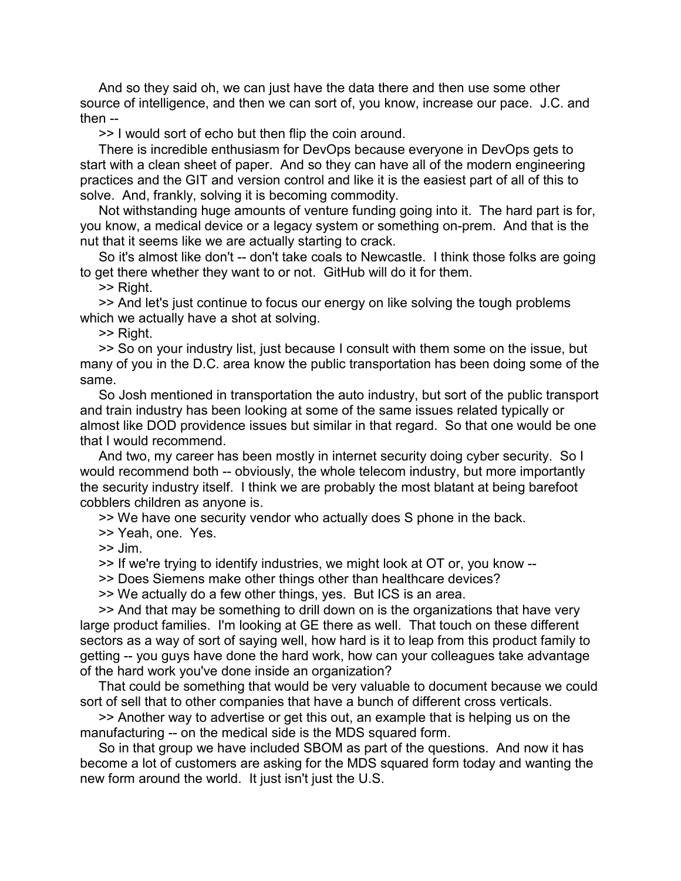And so they said oh, we can just have the data there and then use some other source of intelligence, and then we can sort of, you know, increase our pace. J.C. and then --

>> I would sort of echo but then flip the coin around.

 There is incredible enthusiasm for DevOps because everyone in DevOps gets to start with a clean sheet of paper. And so they can have all of the modern engineering practices and the GIT and version control and like it is the easiest part of all of this to solve. And, frankly, solving it is becoming commodity.

 Not withstanding huge amounts of venture funding going into it. The hard part is for, you know, a medical device or a legacy system or something on-prem. And that is the nut that it seems like we are actually starting to crack.

 So it's almost like don't -- don't take coals to Newcastle. I think those folks are going to get there whether they want to or not. GitHub will do it for them.

>> Right.

 >> And let's just continue to focus our energy on like solving the tough problems which we actually have a shot at solving.

>> Right.

 >> So on your industry list, just because I consult with them some on the issue, but many of you in the D.C. area know the public transportation has been doing some of the same.

 So Josh mentioned in transportation the auto industry, but sort of the public transport and train industry has been looking at some of the same issues related typically or almost like DOD providence issues but similar in that regard. So that one would be one that I would recommend.

 And two, my career has been mostly in internet security doing cyber security. So I would recommend both -- obviously, the whole telecom industry, but more importantly the security industry itself. I think we are probably the most blatant at being barefoot cobblers children as anyone is.

>> We have one security vendor who actually does S phone in the back.

>> Yeah, one. Yes.

>> Jim.

>> If we're trying to identify industries, we might look at OT or, you know --

>> Does Siemens make other things other than healthcare devices?

>> We actually do a few other things, yes. But ICS is an area.

 >> And that may be something to drill down on is the organizations that have very large product families. I'm looking at GE there as well. That touch on these different sectors as a way of sort of saying well, how hard is it to leap from this product family to getting -- you guys have done the hard work, how can your colleagues take advantage of the hard work you've done inside an organization?

 That could be something that would be very valuable to document because we could sort of sell that to other companies that have a bunch of different cross verticals.

 >> Another way to advertise or get this out, an example that is helping us on the manufacturing -- on the medical side is the MDS squared form.

 So in that group we have included SBOM as part of the questions. And now it has become a lot of customers are asking for the MDS squared form today and wanting the new form around the world. It just isn't just the U.S.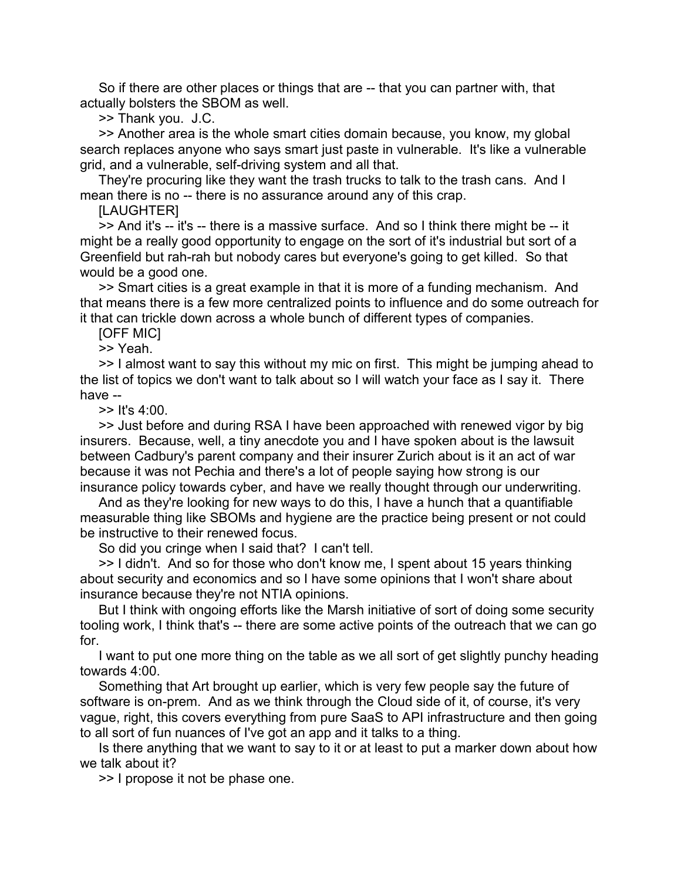So if there are other places or things that are -- that you can partner with, that actually bolsters the SBOM as well.

>> Thank you. J.C.

 >> Another area is the whole smart cities domain because, you know, my global search replaces anyone who says smart just paste in vulnerable. It's like a vulnerable grid, and a vulnerable, self-driving system and all that.

 They're procuring like they want the trash trucks to talk to the trash cans. And I mean there is no -- there is no assurance around any of this crap.

**ILAUGHTERI** 

 >> And it's -- it's -- there is a massive surface. And so I think there might be -- it might be a really good opportunity to engage on the sort of it's industrial but sort of a Greenfield but rah-rah but nobody cares but everyone's going to get killed. So that would be a good one.

 >> Smart cities is a great example in that it is more of a funding mechanism. And that means there is a few more centralized points to influence and do some outreach for it that can trickle down across a whole bunch of different types of companies.

[OFF MIC]

>> Yeah.

 >> I almost want to say this without my mic on first. This might be jumping ahead to the list of topics we don't want to talk about so I will watch your face as I say it. There have --

>> It's 4:00.

 >> Just before and during RSA I have been approached with renewed vigor by big insurers. Because, well, a tiny anecdote you and I have spoken about is the lawsuit between Cadbury's parent company and their insurer Zurich about is it an act of war because it was not Pechia and there's a lot of people saying how strong is our insurance policy towards cyber, and have we really thought through our underwriting.

 And as they're looking for new ways to do this, I have a hunch that a quantifiable measurable thing like SBOMs and hygiene are the practice being present or not could be instructive to their renewed focus.

So did you cringe when I said that? I can't tell.

 >> I didn't. And so for those who don't know me, I spent about 15 years thinking about security and economics and so I have some opinions that I won't share about insurance because they're not NTIA opinions.

 But I think with ongoing efforts like the Marsh initiative of sort of doing some security tooling work, I think that's -- there are some active points of the outreach that we can go for.

 I want to put one more thing on the table as we all sort of get slightly punchy heading towards 4:00.

 Something that Art brought up earlier, which is very few people say the future of software is on-prem. And as we think through the Cloud side of it, of course, it's very vague, right, this covers everything from pure SaaS to API infrastructure and then going to all sort of fun nuances of I've got an app and it talks to a thing.

 Is there anything that we want to say to it or at least to put a marker down about how we talk about it?

>> I propose it not be phase one.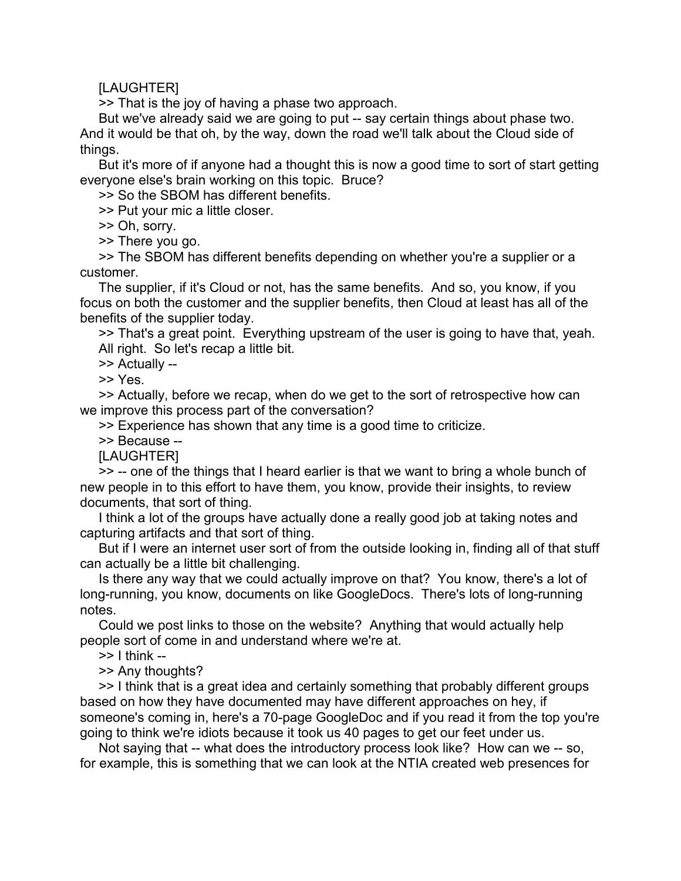## **ILAUGHTERI**

>> That is the joy of having a phase two approach.

 But we've already said we are going to put -- say certain things about phase two. And it would be that oh, by the way, down the road we'll talk about the Cloud side of things.

 But it's more of if anyone had a thought this is now a good time to sort of start getting everyone else's brain working on this topic. Bruce?

>> So the SBOM has different benefits.

>> Put your mic a little closer.

>> Oh, sorry.

>> There you go.

 >> The SBOM has different benefits depending on whether you're a supplier or a customer.

 The supplier, if it's Cloud or not, has the same benefits. And so, you know, if you focus on both the customer and the supplier benefits, then Cloud at least has all of the benefits of the supplier today.

 >> That's a great point. Everything upstream of the user is going to have that, yeah. All right. So let's recap a little bit.

>> Actually --

>> Yes.

 >> Actually, before we recap, when do we get to the sort of retrospective how can we improve this process part of the conversation?

>> Experience has shown that any time is a good time to criticize.

>> Because --

[LAUGHTER]

 >> -- one of the things that I heard earlier is that we want to bring a whole bunch of new people in to this effort to have them, you know, provide their insights, to review documents, that sort of thing.

 I think a lot of the groups have actually done a really good job at taking notes and capturing artifacts and that sort of thing.

 But if I were an internet user sort of from the outside looking in, finding all of that stuff can actually be a little bit challenging.

 Is there any way that we could actually improve on that? You know, there's a lot of long-running, you know, documents on like GoogleDocs. There's lots of long-running notes.

 Could we post links to those on the website? Anything that would actually help people sort of come in and understand where we're at.

 $\ge$  1 think --

>> Any thoughts?

 >> I think that is a great idea and certainly something that probably different groups based on how they have documented may have different approaches on hey, if someone's coming in, here's a 70-page GoogleDoc and if you read it from the top you're going to think we're idiots because it took us 40 pages to get our feet under us.

 Not saying that -- what does the introductory process look like? How can we -- so, for example, this is something that we can look at the NTIA created web presences for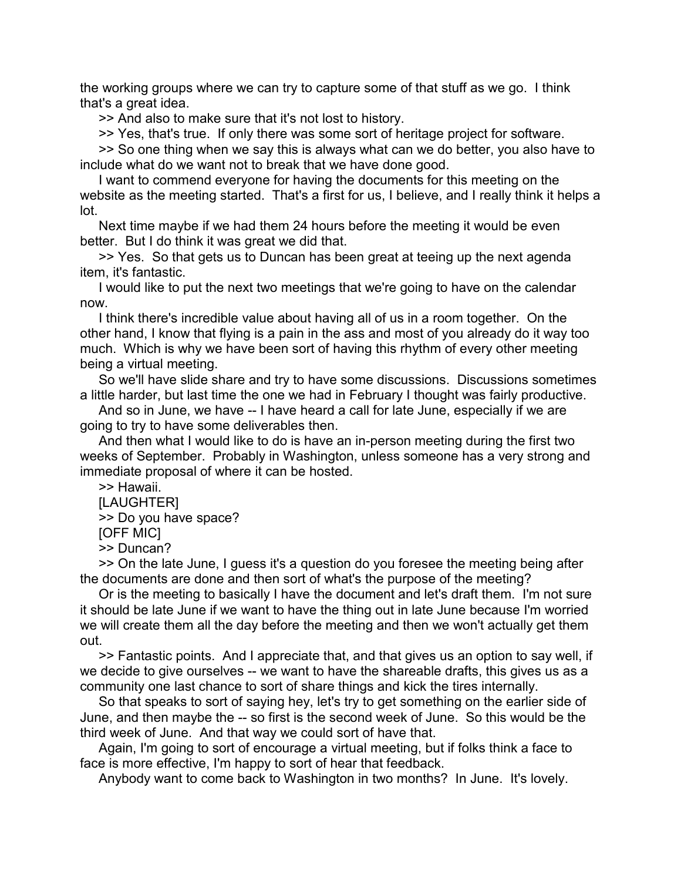the working groups where we can try to capture some of that stuff as we go. I think that's a great idea.

>> And also to make sure that it's not lost to history.

>> Yes, that's true. If only there was some sort of heritage project for software.

 >> So one thing when we say this is always what can we do better, you also have to include what do we want not to break that we have done good.

 I want to commend everyone for having the documents for this meeting on the website as the meeting started. That's a first for us, I believe, and I really think it helps a lot.

 Next time maybe if we had them 24 hours before the meeting it would be even better. But I do think it was great we did that.

 >> Yes. So that gets us to Duncan has been great at teeing up the next agenda item, it's fantastic.

 I would like to put the next two meetings that we're going to have on the calendar now.

 I think there's incredible value about having all of us in a room together. On the other hand, I know that flying is a pain in the ass and most of you already do it way too much. Which is why we have been sort of having this rhythm of every other meeting being a virtual meeting.

 So we'll have slide share and try to have some discussions. Discussions sometimes a little harder, but last time the one we had in February I thought was fairly productive.

 And so in June, we have -- I have heard a call for late June, especially if we are going to try to have some deliverables then.

 And then what I would like to do is have an in-person meeting during the first two weeks of September. Probably in Washington, unless someone has a very strong and immediate proposal of where it can be hosted.

>> Hawaii.

[LAUGHTER]

>> Do you have space?

[OFF MIC]

>> Duncan?

 >> On the late June, I guess it's a question do you foresee the meeting being after the documents are done and then sort of what's the purpose of the meeting?

 Or is the meeting to basically I have the document and let's draft them. I'm not sure it should be late June if we want to have the thing out in late June because I'm worried we will create them all the day before the meeting and then we won't actually get them out.

 >> Fantastic points. And I appreciate that, and that gives us an option to say well, if we decide to give ourselves -- we want to have the shareable drafts, this gives us as a community one last chance to sort of share things and kick the tires internally.

 So that speaks to sort of saying hey, let's try to get something on the earlier side of June, and then maybe the -- so first is the second week of June. So this would be the third week of June. And that way we could sort of have that.

 Again, I'm going to sort of encourage a virtual meeting, but if folks think a face to face is more effective, I'm happy to sort of hear that feedback.

Anybody want to come back to Washington in two months? In June. It's lovely.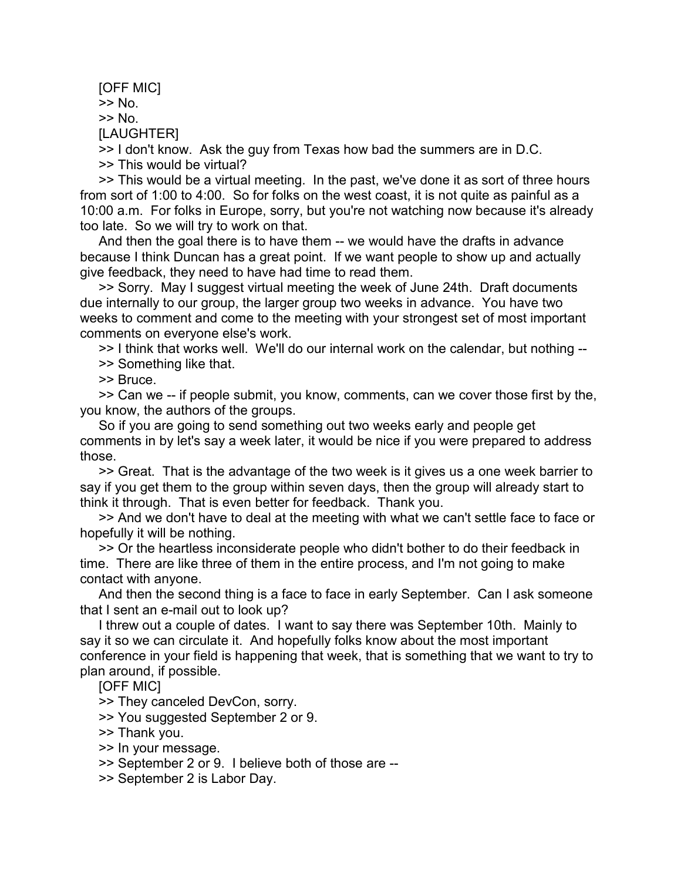[OFF MIC] >> No. >> No. [LAUGHTER]

 >> I don't know. Ask the guy from Texas how bad the summers are in D.C. >> This would be virtual?

 >> This would be a virtual meeting. In the past, we've done it as sort of three hours from sort of 1:00 to 4:00. So for folks on the west coast, it is not quite as painful as a 10:00 a.m. For folks in Europe, sorry, but you're not watching now because it's already too late. So we will try to work on that.

 And then the goal there is to have them -- we would have the drafts in advance because I think Duncan has a great point. If we want people to show up and actually give feedback, they need to have had time to read them.

 >> Sorry. May I suggest virtual meeting the week of June 24th. Draft documents due internally to our group, the larger group two weeks in advance. You have two weeks to comment and come to the meeting with your strongest set of most important comments on everyone else's work.

 >> I think that works well. We'll do our internal work on the calendar, but nothing -- >> Something like that.

>> Bruce.

 >> Can we -- if people submit, you know, comments, can we cover those first by the, you know, the authors of the groups.

 So if you are going to send something out two weeks early and people get comments in by let's say a week later, it would be nice if you were prepared to address those.

 >> Great. That is the advantage of the two week is it gives us a one week barrier to say if you get them to the group within seven days, then the group will already start to think it through. That is even better for feedback. Thank you.

 >> And we don't have to deal at the meeting with what we can't settle face to face or hopefully it will be nothing.

 >> Or the heartless inconsiderate people who didn't bother to do their feedback in time. There are like three of them in the entire process, and I'm not going to make contact with anyone.

 And then the second thing is a face to face in early September. Can I ask someone that I sent an e-mail out to look up?

 I threw out a couple of dates. I want to say there was September 10th. Mainly to say it so we can circulate it. And hopefully folks know about the most important conference in your field is happening that week, that is something that we want to try to plan around, if possible.

[OFF MIC]

>> They canceled DevCon, sorry.

>> You suggested September 2 or 9.

- >> Thank you.
- >> In your message.
- >> September 2 or 9. I believe both of those are --
- >> September 2 is Labor Day.